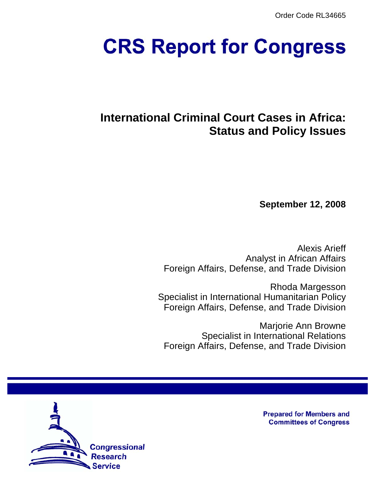Order Code RL34665

# **CRS Report for Congress**

## **International Criminal Court Cases in Africa: Status and Policy Issues**

**September 12, 2008**

Alexis Arieff Analyst in African Affairs Foreign Affairs, Defense, and Trade Division

Rhoda Margesson Specialist in International Humanitarian Policy Foreign Affairs, Defense, and Trade Division

Marjorie Ann Browne Specialist in International Relations Foreign Affairs, Defense, and Trade Division



**Prepared for Members and Committees of Congress**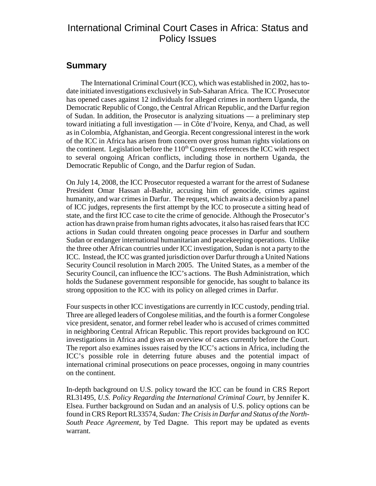## International Criminal Court Cases in Africa: Status and Policy Issues

## **Summary**

The International Criminal Court (ICC), which was established in 2002, has todate initiated investigations exclusively in Sub-Saharan Africa. The ICC Prosecutor has opened cases against 12 individuals for alleged crimes in northern Uganda, the Democratic Republic of Congo, the Central African Republic, and the Darfur region of Sudan. In addition, the Prosecutor is analyzing situations — a preliminary step toward initiating a full investigation — in Côte d'Ivoire, Kenya, and Chad, as well as in Colombia, Afghanistan, and Georgia. Recent congressional interest in the work of the ICC in Africa has arisen from concern over gross human rights violations on the continent. Legislation before the  $110<sup>th</sup>$  Congress references the ICC with respect to several ongoing African conflicts, including those in northern Uganda, the Democratic Republic of Congo, and the Darfur region of Sudan.

On July 14, 2008, the ICC Prosecutor requested a warrant for the arrest of Sudanese President Omar Hassan al-Bashir, accusing him of genocide, crimes against humanity, and war crimes in Darfur. The request, which awaits a decision by a panel of ICC judges, represents the first attempt by the ICC to prosecute a sitting head of state, and the first ICC case to cite the crime of genocide. Although the Prosecutor's action has drawn praise from human rights advocates, it also has raised fears that ICC actions in Sudan could threaten ongoing peace processes in Darfur and southern Sudan or endanger international humanitarian and peacekeeping operations. Unlike the three other African countries under ICC investigation, Sudan is not a party to the ICC. Instead, the ICC was granted jurisdiction over Darfur through a United Nations Security Council resolution in March 2005. The United States, as a member of the Security Council, can influence the ICC's actions. The Bush Administration, which holds the Sudanese government responsible for genocide, has sought to balance its strong opposition to the ICC with its policy on alleged crimes in Darfur.

Four suspects in other ICC investigations are currently in ICC custody, pending trial. Three are alleged leaders of Congolese militias, and the fourth is a former Congolese vice president, senator, and former rebel leader who is accused of crimes committed in neighboring Central African Republic. This report provides background on ICC investigations in Africa and gives an overview of cases currently before the Court. The report also examines issues raised by the ICC's actions in Africa, including the ICC's possible role in deterring future abuses and the potential impact of international criminal prosecutions on peace processes, ongoing in many countries on the continent.

In-depth background on U.S. policy toward the ICC can be found in CRS Report RL31495, *U.S. Policy Regarding the International Criminal Court*, by Jennifer K. Elsea. Further background on Sudan and an analysis of U.S. policy options can be found in CRS Report RL33574, *Sudan: The Crisis in Darfur and Status of the North-South Peace Agreement*, by Ted Dagne. This report may be updated as events warrant.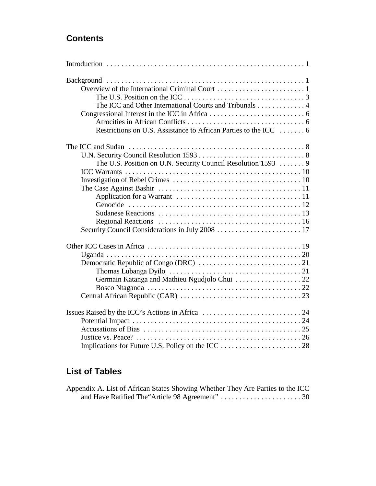## **Contents**

| The ICC and Other International Courts and Tribunals 4           |
|------------------------------------------------------------------|
|                                                                  |
|                                                                  |
| Restrictions on U.S. Assistance to African Parties to the ICC  6 |
|                                                                  |
|                                                                  |
| The U.S. Position on U.N. Security Council Resolution 1593  9    |
|                                                                  |
|                                                                  |
|                                                                  |
|                                                                  |
|                                                                  |
|                                                                  |
|                                                                  |
|                                                                  |
|                                                                  |
|                                                                  |
|                                                                  |
|                                                                  |
| Germain Katanga and Mathieu Ngudjolo Chui  22                    |
|                                                                  |
|                                                                  |
|                                                                  |
|                                                                  |
|                                                                  |
|                                                                  |
|                                                                  |

## **List of Tables**

| Appendix A. List of African States Showing Whether They Are Parties to the ICC |  |  |  |
|--------------------------------------------------------------------------------|--|--|--|
|                                                                                |  |  |  |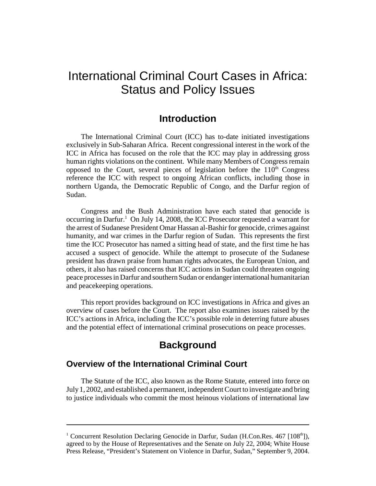## International Criminal Court Cases in Africa: Status and Policy Issues

## **Introduction**

The International Criminal Court (ICC) has to-date initiated investigations exclusively in Sub-Saharan Africa. Recent congressional interest in the work of the ICC in Africa has focused on the role that the ICC may play in addressing gross human rights violations on the continent. While many Members of Congress remain opposed to the Court, several pieces of legislation before the  $110<sup>th</sup>$  Congress reference the ICC with respect to ongoing African conflicts, including those in northern Uganda, the Democratic Republic of Congo, and the Darfur region of Sudan.

Congress and the Bush Administration have each stated that genocide is occurring in Darfur.<sup>1</sup> On July 14, 2008, the ICC Prosecutor requested a warrant for the arrest of Sudanese President Omar Hassan al-Bashir for genocide, crimes against humanity, and war crimes in the Darfur region of Sudan. This represents the first time the ICC Prosecutor has named a sitting head of state, and the first time he has accused a suspect of genocide. While the attempt to prosecute of the Sudanese president has drawn praise from human rights advocates, the European Union, and others, it also has raised concerns that ICC actions in Sudan could threaten ongoing peace processes in Darfur and southern Sudan or endanger international humanitarian and peacekeeping operations.

This report provides background on ICC investigations in Africa and gives an overview of cases before the Court. The report also examines issues raised by the ICC's actions in Africa, including the ICC's possible role in deterring future abuses and the potential effect of international criminal prosecutions on peace processes.

## **Background**

## **Overview of the International Criminal Court**

The Statute of the ICC, also known as the Rome Statute, entered into force on July 1, 2002, and established a permanent, independent Court to investigate and bring to justice individuals who commit the most heinous violations of international law

<sup>&</sup>lt;sup>1</sup> Concurrent Resolution Declaring Genocide in Darfur, Sudan (H.Con.Res. 467 [108<sup>th</sup>]), agreed to by the House of Representatives and the Senate on July 22, 2004; White House Press Release, "President's Statement on Violence in Darfur, Sudan," September 9, 2004.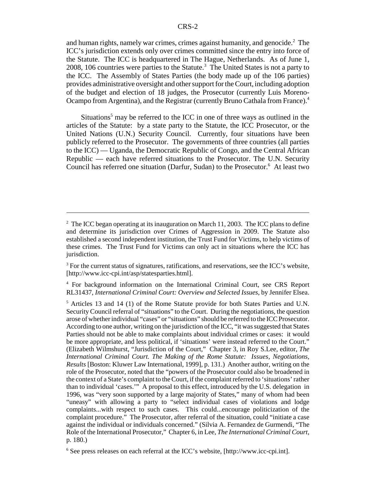and human rights, namely war crimes, crimes against humanity, and genocide.<sup>2</sup> The ICC's jurisdiction extends only over crimes committed since the entry into force of the Statute. The ICC is headquartered in The Hague, Netherlands. As of June 1, 2008, 106 countries were parties to the Statute.<sup>3</sup> The United States is not a party to the ICC. The Assembly of States Parties (the body made up of the 106 parties) provides administrative oversight and other support for the Court, including adoption of the budget and election of 18 judges, the Prosecutor (currently Luis Moreno-Ocampo from Argentina), and the Registrar (currently Bruno Cathala from France).4

Situations<sup>5</sup> may be referred to the ICC in one of three ways as outlined in the articles of the Statute: by a state party to the Statute, the ICC Prosecutor, or the United Nations (U.N.) Security Council. Currently, four situations have been publicly referred to the Prosecutor. The governments of three countries (all parties to the ICC) — Uganda, the Democratic Republic of Congo, and the Central African Republic — each have referred situations to the Prosecutor. The U.N. Security Council has referred one situation (Darfur, Sudan) to the Prosecutor.<sup>6</sup> At least two

 $2$  The ICC began operating at its inauguration on March 11, 2003. The ICC plans to define and determine its jurisdiction over Crimes of Aggression in 2009. The Statute also established a second independent institution, the Trust Fund for Victims, to help victims of these crimes. The Trust Fund for Victims can only act in situations where the ICC has jurisdiction.

 $3$  For the current status of signatures, ratifications, and reservations, see the ICC's website, [http://www.icc-cpi.int/asp/statesparties.html].

<sup>4</sup> For background information on the International Criminal Court, see CRS Report RL31437, *International Criminal Court: Overview and Selected Issues*, by Jennifer Elsea.

<sup>&</sup>lt;sup>5</sup> Articles 13 and 14 (1) of the Rome Statute provide for both States Parties and U.N. Security Council referral of "situations" to the Court. During the negotiations, the question arose of whether individual "cases" or "situations" should be referred to the ICC Prosecutor. According to one author, writing on the jurisdiction of the ICC, "it was suggested that States Parties should not be able to make complaints about individual crimes or cases: it would be more appropriate, and less political, if 'situations' were instead referred to the Court." (Elizabeth Wilmshurst, "Jurisdiction of the Court," Chapter 3, in Roy S.Lee, editor, *The International Criminal Court. The Making of the Rome Statute: Issues, Negotiations, Results* [Boston: Kluwer Law International, 1999], p. 131.) Another author, writing on the role of the Prosecutor, noted that the "powers of the Prosecutor could also be broadened in the context of a State's complaint to the Court, if the complaint referred to 'situations' rather than to individual 'cases.'" A proposal to this effect, introduced by the U.S. delegation in 1996, was "very soon supported by a large majority of States," many of whom had been "uneasy" with allowing a party to "select individual cases of violations and lodge complaints...with respect to such cases. This could...encourage politicization of the complaint procedure." The Prosecutor, after referral of the situation, could "initiate a case against the individual or individuals concerned." (Silvia A. Fernandez de Gurmendi, "The Role of the International Prosecutor," Chapter 6, in Lee, *The International Criminal Court*, p. 180.)

<sup>6</sup> See press releases on each referral at the ICC's website, [http://www.icc-cpi.int].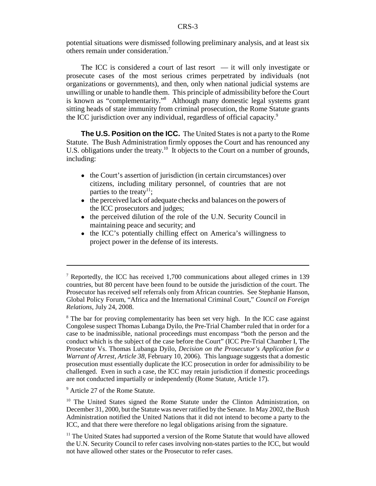potential situations were dismissed following preliminary analysis, and at least six others remain under consideration.7

The ICC is considered a court of last resort  $-$  it will only investigate or prosecute cases of the most serious crimes perpetrated by individuals (not organizations or governments), and then, only when national judicial systems are unwilling or unable to handle them. This principle of admissibility before the Court is known as "complementarity."8 Although many domestic legal systems grant sitting heads of state immunity from criminal prosecution, the Rome Statute grants the ICC jurisdiction over any individual, regardless of official capacity.<sup>9</sup>

**The U.S. Position on the ICC.** The United States is not a party to the Rome Statute. The Bush Administration firmly opposes the Court and has renounced any U.S. obligations under the treaty.<sup>10</sup> It objects to the Court on a number of grounds, including:

- the Court's assertion of jurisdiction (in certain circumstances) over citizens, including military personnel, of countries that are not parties to the treaty<sup>11</sup>;
- the perceived lack of adequate checks and balances on the powers of the ICC prosecutors and judges;
- the perceived dilution of the role of the U.N. Security Council in maintaining peace and security; and
- the ICC's potentially chilling effect on America's willingness to project power in the defense of its interests.

<sup>9</sup> Article 27 of the Rome Statute.

<sup>7</sup> Reportedly, the ICC has received 1,700 communications about alleged crimes in 139 countries, but 80 percent have been found to be outside the jurisdiction of the court. The Prosecutor has received self referrals only from African countries. See Stephanie Hanson, Global Policy Forum, "Africa and the International Criminal Court," *Council on Foreign Relations*, July 24, 2008.

<sup>&</sup>lt;sup>8</sup> The bar for proving complementarity has been set very high. In the ICC case against Congolese suspect Thomas Lubanga Dyilo, the Pre-Trial Chamber ruled that in order for a case to be inadmissible, national proceedings must encompass "both the person and the conduct which is the subject of the case before the Court" (ICC Pre-Trial Chamber I, The Prosecutor Vs. Thomas Lubanga Dyilo, *Decision on the Prosecutor's Application for a Warrant of Arrest, Article 38*, February 10, 2006). This language suggests that a domestic prosecution must essentially duplicate the ICC prosecution in order for admissibility to be challenged. Even in such a case, the ICC may retain jurisdiction if domestic proceedings are not conducted impartially or independently (Rome Statute, Article 17).

<sup>&</sup>lt;sup>10</sup> The United States signed the Rome Statute under the Clinton Administration, on December 31, 2000, but the Statute was never ratified by the Senate. In May 2002, the Bush Administration notified the United Nations that it did not intend to become a party to the ICC, and that there were therefore no legal obligations arising from the signature.

 $11$  The United States had supported a version of the Rome Statute that would have allowed the U.N. Security Council to refer cases involving non-states parties to the ICC, but would not have allowed other states or the Prosecutor to refer cases.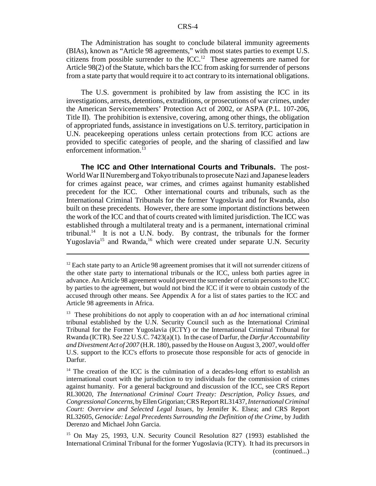The Administration has sought to conclude bilateral immunity agreements (BIAs), known as "Article 98 agreements," with most states parties to exempt U.S. citizens from possible surrender to the  $ICC<sup>12</sup>$ . These agreements are named for Article 98(2) of the Statute, which bars the ICC from asking for surrender of persons from a state party that would require it to act contrary to its international obligations.

The U.S. government is prohibited by law from assisting the ICC in its investigations, arrests, detentions, extraditions, or prosecutions of war crimes, under the American Servicemembers' Protection Act of 2002, or ASPA (P.L. 107-206, Title II). The prohibition is extensive, covering, among other things, the obligation of appropriated funds, assistance in investigations on U.S. territory, participation in U.N. peacekeeping operations unless certain protections from ICC actions are provided to specific categories of people, and the sharing of classified and law enforcement information.<sup>13</sup>

**The ICC and Other International Courts and Tribunals.** The post-World War II Nuremberg and Tokyo tribunals to prosecute Nazi and Japanese leaders for crimes against peace, war crimes, and crimes against humanity established precedent for the ICC. Other international courts and tribunals, such as the International Criminal Tribunals for the former Yugoslavia and for Rwanda, also built on these precedents. However, there are some important distinctions between the work of the ICC and that of courts created with limited jurisdiction. The ICC was established through a multilateral treaty and is a permanent, international criminal tribunal.<sup>14</sup> It is not a U.N. body. By contrast, the tribunals for the former Yugoslavia<sup>15</sup> and Rwanda,<sup>16</sup> which were created under separate U.N. Security

 $12$  Each state party to an Article 98 agreement promises that it will not surrender citizens of the other state party to international tribunals or the ICC, unless both parties agree in advance. An Article 98 agreement would prevent the surrender of certain persons to the ICC by parties to the agreement, but would not bind the ICC if it were to obtain custody of the accused through other means. See Appendix A for a list of states parties to the ICC and Article 98 agreements in Africa.

<sup>&</sup>lt;sup>13</sup> These prohibitions do not apply to cooperation with an *ad hoc* international criminal tribunal established by the U.N. Security Council such as the International Criminal Tribunal for the Former Yugoslavia (ICTY) or the International Criminal Tribunal for Rwanda (ICTR). See 22 U.S.C. 7423(a)(1). In the case of Darfur, the *Darfur Accountability and Divestment Act of 2007* (H.R. 180), passed by the House on August 3, 2007, would offer U.S. support to the ICC's efforts to prosecute those responsible for acts of genocide in Darfur.

 $14$  The creation of the ICC is the culmination of a decades-long effort to establish an international court with the jurisdiction to try individuals for the commission of crimes against humanity. For a general background and discussion of the ICC, see CRS Report RL30020, *The International Criminal Court Treaty: Description, Policy Issues, and Congressional Concerns*, by Ellen Grigorian; CRS Report RL31437, *International Criminal Court: Overview and Selected Legal Issues*, by Jennifer K. Elsea; and CRS Report RL32605, *Genocide: Legal Precedents Surrounding the Definition of the Crime*, by Judith Derenzo and Michael John Garcia.

<sup>15</sup> On May 25, 1993, U.N. Security Council Resolution 827 (1993) established the International Criminal Tribunal for the former Yugoslavia (ICTY). It had its precursors in (continued...)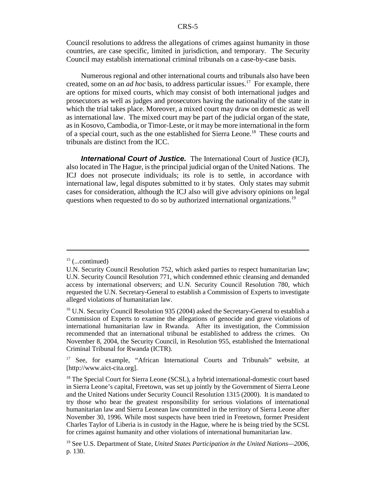Council resolutions to address the allegations of crimes against humanity in those countries, are case specific, limited in jurisdiction, and temporary. The Security Council may establish international criminal tribunals on a case-by-case basis.

Numerous regional and other international courts and tribunals also have been created, some on an *ad hoc* basis, to address particular issues.<sup>17</sup> For example, there are options for mixed courts, which may consist of both international judges and prosecutors as well as judges and prosecutors having the nationality of the state in which the trial takes place. Moreover, a mixed court may draw on domestic as well as international law. The mixed court may be part of the judicial organ of the state, as in Kosovo, Cambodia, or Timor-Leste, or it may be more international in the form of a special court, such as the one established for Sierra Leone.18 These courts and tribunals are distinct from the ICC.

*International Court of Justice.* The International Court of Justice (ICJ), also located in The Hague, is the principal judicial organ of the United Nations. The ICJ does not prosecute individuals; its role is to settle, in accordance with international law, legal disputes submitted to it by states. Only states may submit cases for consideration, although the ICJ also will give advisory opinions on legal questions when requested to do so by authorized international organizations.<sup>19</sup>

 $15$  (...continued)

U.N. Security Council Resolution 752, which asked parties to respect humanitarian law; U.N. Security Council Resolution 771, which condemned ethnic cleansing and demanded access by international observers; and U.N. Security Council Resolution 780, which requested the U.N. Secretary-General to establish a Commission of Experts to investigate alleged violations of humanitarian law.

<sup>&</sup>lt;sup>16</sup> U.N. Security Council Resolution 935 (2004) asked the Secretary-General to establish a Commission of Experts to examine the allegations of genocide and grave violations of international humanitarian law in Rwanda. After its investigation, the Commission recommended that an international tribunal be established to address the crimes. On November 8, 2004, the Security Council, in Resolution 955, established the International Criminal Tribunal for Rwanda (ICTR).

<sup>&</sup>lt;sup>17</sup> See, for example, "African International Courts and Tribunals" website, at [http://www.aict-cita.org].

<sup>&</sup>lt;sup>18</sup> The Special Court for Sierra Leone (SCSL), a hybrid international-domestic court based in Sierra Leone's capital, Freetown, was set up jointly by the Government of Sierra Leone and the United Nations under Security Council Resolution 1315 (2000). It is mandated to try those who bear the greatest responsibility for serious violations of international humanitarian law and Sierra Leonean law committed in the territory of Sierra Leone after November 30, 1996. While most suspects have been tried in Freetown, former President Charles Taylor of Liberia is in custody in the Hague, where he is being tried by the SCSL for crimes against humanity and other violations of international humanitarian law.

<sup>19</sup> See U.S. Department of State, *United States Participation in the United Nations—2006*, p. 130.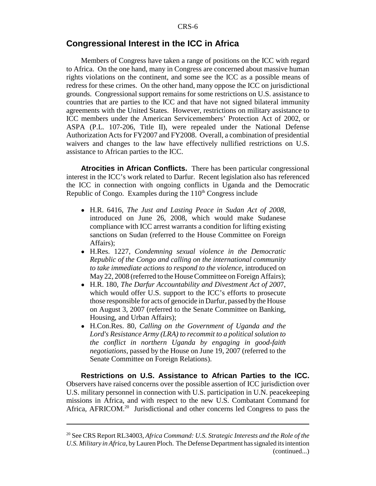## **Congressional Interest in the ICC in Africa**

Members of Congress have taken a range of positions on the ICC with regard to Africa. On the one hand, many in Congress are concerned about massive human rights violations on the continent, and some see the ICC as a possible means of redress for these crimes. On the other hand, many oppose the ICC on jurisdictional grounds. Congressional support remains for some restrictions on U.S. assistance to countries that are parties to the ICC and that have not signed bilateral immunity agreements with the United States. However, restrictions on military assistance to ICC members under the American Servicemembers' Protection Act of 2002, or ASPA (P.L. 107-206, Title II), were repealed under the National Defense Authorization Acts for FY2007 and FY2008. Overall, a combination of presidential waivers and changes to the law have effectively nullified restrictions on U.S. assistance to African parties to the ICC.

**Atrocities in African Conflicts.** There has been particular congressional interest in the ICC's work related to Darfur. Recent legislation also has referenced the ICC in connection with ongoing conflicts in Uganda and the Democratic Republic of Congo. Examples during the  $110<sup>th</sup>$  Congress include

- ! H.R. 6416, *The Just and Lasting Peace in Sudan Act of 2008*, introduced on June 26, 2008, which would make Sudanese compliance with ICC arrest warrants a condition for lifting existing sanctions on Sudan (referred to the House Committee on Foreign Affairs);
- ! H.Res. 1227, *Condemning sexual violence in the Democratic Republic of the Congo and calling on the international community to take immediate actions to respond to the violence*, introduced on May 22, 2008 (referred to the House Committee on Foreign Affairs);
- ! H.R. 180, *The Darfur Accountability and Divestment Act of 200*7, which would offer U.S. support to the ICC's efforts to prosecute those responsible for acts of genocide in Darfur, passed by the House on August 3, 2007 (referred to the Senate Committee on Banking, Housing, and Urban Affairs);
- ! H.Con.Res. 80, *Calling on the Government of Uganda and the Lord's Resistance Army (LRA) to recommit to a political solution to the conflict in northern Uganda by engaging in good-faith negotiations*, passed by the House on June 19, 2007 (referred to the Senate Committee on Foreign Relations).

**Restrictions on U.S. Assistance to African Parties to the ICC.** Observers have raised concerns over the possible assertion of ICC jurisdiction over U.S. military personnel in connection with U.S. participation in U.N. peacekeeping missions in Africa, and with respect to the new U.S. Combatant Command for Africa, AFRICOM.<sup>20</sup> Jurisdictional and other concerns led Congress to pass the

<sup>20</sup> See CRS Report RL34003, *Africa Command: U.S. Strategic Interests and the Role of the U.S. Military in Africa*, by Lauren Ploch. The Defense Department has signaled its intention (continued...)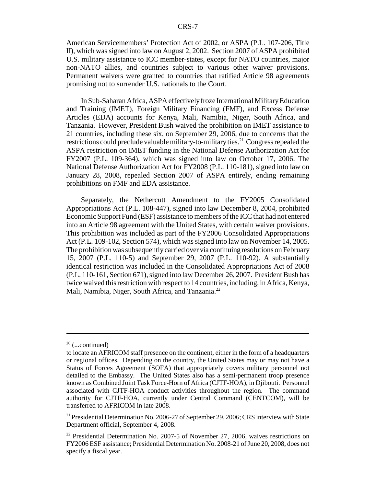American Servicemembers' Protection Act of 2002, or ASPA (P.L. 107-206, Title II), which was signed into law on August 2, 2002. Section 2007 of ASPA prohibited U.S. military assistance to ICC member-states, except for NATO countries, major non-NATO allies, and countries subject to various other waiver provisions. Permanent waivers were granted to countries that ratified Article 98 agreements promising not to surrender U.S. nationals to the Court.

In Sub-Saharan Africa, ASPA effectively froze International Military Education and Training (IMET), Foreign Military Financing (FMF), and Excess Defense Articles (EDA) accounts for Kenya, Mali, Namibia, Niger, South Africa, and Tanzania. However, President Bush waived the prohibition on IMET assistance to 21 countries, including these six, on September 29, 2006, due to concerns that the restrictions could preclude valuable military-to-military ties.<sup>21</sup> Congress repealed the ASPA restriction on IMET funding in the National Defense Authorization Act for FY2007 (P.L. 109-364), which was signed into law on October 17, 2006. The National Defense Authorization Act for FY2008 (P.L. 110-181), signed into law on January 28, 2008, repealed Section 2007 of ASPA entirely, ending remaining prohibitions on FMF and EDA assistance.

Separately, the Nethercutt Amendment to the FY2005 Consolidated Appropriations Act (P.L. 108-447), signed into law December 8, 2004, prohibited Economic Support Fund (ESF) assistance to members of the ICC that had not entered into an Article 98 agreement with the United States, with certain waiver provisions. This prohibition was included as part of the FY2006 Consolidated Appropriations Act (P.L. 109-102, Section 574), which was signed into law on November 14, 2005. The prohibition was subsequently carried over via continuing resolutions on February 15, 2007 (P.L. 110-5) and September 29, 2007 (P.L. 110-92). A substantially identical restriction was included in the Consolidated Appropriations Act of 2008 (P.L. 110-161, Section 671), signed into law December 26, 2007. President Bush has twice waived this restriction with respect to 14 countries, including, in Africa, Kenya, Mali, Namibia, Niger, South Africa, and Tanzania.<sup>22</sup>

 $20$  (...continued)

to locate an AFRICOM staff presence on the continent, either in the form of a headquarters or regional offices. Depending on the country, the United States may or may not have a Status of Forces Agreement (SOFA) that appropriately covers military personnel not detailed to the Embassy. The United States also has a semi-permanent troop presence known as Combined Joint Task Force-Horn of Africa (CJTF-HOA), in Djibouti. Personnel associated with CJTF-HOA conduct activities throughout the region. The command authority for CJTF-HOA, currently under Central Command (CENTCOM), will be transferred to AFRICOM in late 2008.

<sup>&</sup>lt;sup>21</sup> Presidential Determination No. 2006-27 of September 29, 2006; CRS interview with State Department official, September 4, 2008.

<sup>&</sup>lt;sup>22</sup> Presidential Determination No. 2007-5 of November 27, 2006, waives restrictions on FY2006 ESF assistance; Presidential Determination No. 2008-21 of June 20, 2008, does not specify a fiscal year.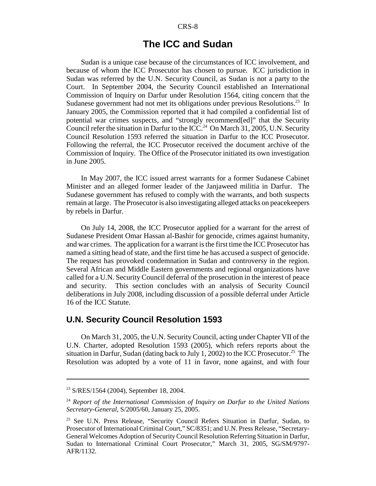#### CRS-8

## **The ICC and Sudan**

Sudan is a unique case because of the circumstances of ICC involvement, and because of whom the ICC Prosecutor has chosen to pursue. ICC jurisdiction in Sudan was referred by the U.N. Security Council, as Sudan is not a party to the Court. In September 2004, the Security Council established an International Commission of Inquiry on Darfur under Resolution 1564, citing concern that the Sudanese government had not met its obligations under previous Resolutions.<sup>23</sup> In January 2005, the Commission reported that it had compiled a confidential list of potential war crimes suspects, and "strongly recommend[ed]" that the Security Council refer the situation in Darfur to the ICC.<sup>24</sup> On March 31, 2005, U.N. Security Council Resolution 1593 referred the situation in Darfur to the ICC Prosecutor. Following the referral, the ICC Prosecutor received the document archive of the Commission of Inquiry. The Office of the Prosecutor initiated its own investigation in June 2005.

In May 2007, the ICC issued arrest warrants for a former Sudanese Cabinet Minister and an alleged former leader of the Janjaweed militia in Darfur. The Sudanese government has refused to comply with the warrants, and both suspects remain at large. The Prosecutor is also investigating alleged attacks on peacekeepers by rebels in Darfur.

On July 14, 2008, the ICC Prosecutor applied for a warrant for the arrest of Sudanese President Omar Hassan al-Bashir for genocide, crimes against humanity, and war crimes. The application for a warrant is the first time the ICC Prosecutor has named a sitting head of state, and the first time he has accused a suspect of genocide. The request has provoked condemnation in Sudan and controversy in the region. Several African and Middle Eastern governments and regional organizations have called for a U.N. Security Council deferral of the prosecution in the interest of peace and security. This section concludes with an analysis of Security Council deliberations in July 2008, including discussion of a possible deferral under Article 16 of the ICC Statute.

## **U.N. Security Council Resolution 1593**

On March 31, 2005, the U.N. Security Council, acting under Chapter VII of the U.N. Charter, adopted Resolution 1593 (2005), which refers reports about the situation in Darfur, Sudan (dating back to July 1, 2002) to the ICC Prosecutor.<sup>25</sup> The Resolution was adopted by a vote of 11 in favor, none against, and with four

<sup>23</sup> S/RES/1564 (2004), September 18, 2004.

<sup>24</sup> *Report of the International Commission of Inquiry on Darfur to the United Nations Secretary-General*, S/2005/60, January 25, 2005.

<sup>25</sup> See U.N. Press Release, "Security Council Refers Situation in Darfur, Sudan, to Prosecutor of International Criminal Court," SC/8351; and U.N. Press Release, "Secretary-General Welcomes Adoption of Security Council Resolution Referring Situation in Darfur, Sudan to International Criminal Court Prosecutor," March 31, 2005, SG/SM/9797- AFR/1132.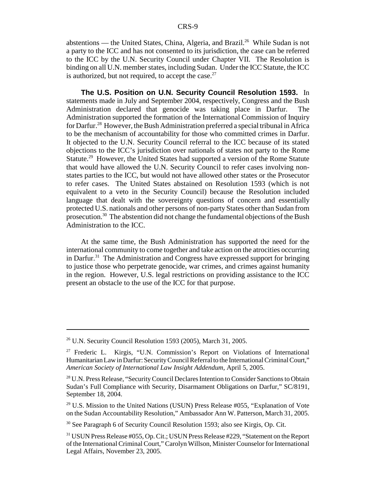abstentions — the United States, China, Algeria, and Brazil.<sup>26</sup> While Sudan is not a party to the ICC and has not consented to its jurisdiction, the case can be referred to the ICC by the U.N. Security Council under Chapter VII. The Resolution is binding on all U.N. member states, including Sudan. Under the ICC Statute, the ICC is authorized, but not required, to accept the case. $27$ 

**The U.S. Position on U.N. Security Council Resolution 1593.** In statements made in July and September 2004, respectively, Congress and the Bush Administration declared that genocide was taking place in Darfur. The Administration supported the formation of the International Commission of Inquiry for Darfur.<sup>28</sup> However, the Bush Administration preferred a special tribunal in Africa to be the mechanism of accountability for those who committed crimes in Darfur. It objected to the U.N. Security Council referral to the ICC because of its stated objections to the ICC's jurisdiction over nationals of states not party to the Rome Statute.<sup>29</sup> However, the United States had supported a version of the Rome Statute that would have allowed the U.N. Security Council to refer cases involving nonstates parties to the ICC, but would not have allowed other states or the Prosecutor to refer cases. The United States abstained on Resolution 1593 (which is not equivalent to a veto in the Security Council) because the Resolution included language that dealt with the sovereignty questions of concern and essentially protected U.S. nationals and other persons of non-party States other than Sudan from prosecution.30 The abstention did not change the fundamental objections of the Bush Administration to the ICC.

At the same time, the Bush Administration has supported the need for the international community to come together and take action on the atrocities occurring in Darfur.<sup>31</sup> The Administration and Congress have expressed support for bringing to justice those who perpetrate genocide, war crimes, and crimes against humanity in the region. However, U.S. legal restrictions on providing assistance to the ICC present an obstacle to the use of the ICC for that purpose.

<sup>26</sup> U.N. Security Council Resolution 1593 (2005), March 31, 2005.

<sup>27</sup> Frederic L. Kirgis, "U.N. Commission's Report on Violations of International Humanitarian Law in Darfur: Security Council Referral to the International Criminal Court," *American Society of International Law Insight Addendum*, April 5, 2005.

<sup>&</sup>lt;sup>28</sup> U.N. Press Release, "Security Council Declares Intention to Consider Sanctions to Obtain Sudan's Full Compliance with Security, Disarmament Obligations on Darfur," SC/8191, September 18, 2004.

 $29$  U.S. Mission to the United Nations (USUN) Press Release #055, "Explanation of Vote on the Sudan Accountability Resolution," Ambassador Ann W. Patterson, March 31, 2005.

<sup>30</sup> See Paragraph 6 of Security Council Resolution 1593; also see Kirgis, Op. Cit.

<sup>31</sup> USUN Press Release #055, Op. Cit.; USUN Press Release #229, "Statement on the Report of the International Criminal Court," Carolyn Willson, Minister Counselor for International Legal Affairs, November 23, 2005.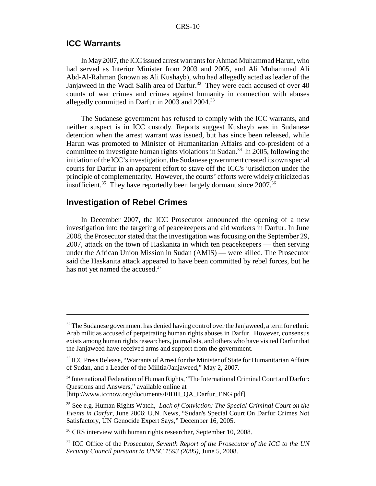## **ICC Warrants**

In May 2007, the ICC issued arrest warrants for Ahmad Muhammad Harun, who had served as Interior Minister from 2003 and 2005, and Ali Muhammad Ali Abd-Al-Rahman (known as Ali Kushayb), who had allegedly acted as leader of the Janjaweed in the Wadi Salih area of Darfur.<sup>32</sup> They were each accused of over 40 counts of war crimes and crimes against humanity in connection with abuses allegedly committed in Darfur in 2003 and 2004.<sup>33</sup>

The Sudanese government has refused to comply with the ICC warrants, and neither suspect is in ICC custody. Reports suggest Kushayb was in Sudanese detention when the arrest warrant was issued, but has since been released, while Harun was promoted to Minister of Humanitarian Affairs and co-president of a committee to investigate human rights violations in Sudan.<sup>34</sup> In 2005, following the initiation of the ICC's investigation, the Sudanese government created its own special courts for Darfur in an apparent effort to stave off the ICC's jurisdiction under the principle of complementarity. However, the courts' efforts were widely criticized as insufficient.<sup>35</sup> They have reportedly been largely dormant since  $2007$ .<sup>36</sup>

## **Investigation of Rebel Crimes**

In December 2007, the ICC Prosecutor announced the opening of a new investigation into the targeting of peacekeepers and aid workers in Darfur. In June 2008, the Prosecutor stated that the investigation was focusing on the September 29, 2007, attack on the town of Haskanita in which ten peacekeepers — then serving under the African Union Mission in Sudan (AMIS) — were killed. The Prosecutor said the Haskanita attack appeared to have been committed by rebel forces, but he has not yet named the accused.<sup>37</sup>

 $32$  The Sudanese government has denied having control over the Janjaweed, a term for ethnic Arab militias accused of perpetrating human rights abuses in Darfur. However, consensus exists among human rights researchers, journalists, and others who have visited Darfur that the Janjaweed have received arms and support from the government.

<sup>&</sup>lt;sup>33</sup> ICC Press Release, "Warrants of Arrest for the Minister of State for Humanitarian Affairs of Sudan, and a Leader of the Militia/Janjaweed," May 2, 2007.

<sup>&</sup>lt;sup>34</sup> International Federation of Human Rights, "The International Criminal Court and Darfur: Questions and Answers," available online at [http://www.iccnow.org/documents/FIDH\_QA\_Darfur\_ENG.pdf].

<sup>35</sup> See e.g. Human Rights Watch, *Lack of Conviction: The Special Criminal Court on the Events in Darfur*, June 2006; U.N. News, "Sudan's Special Court On Darfur Crimes Not Satisfactory, UN Genocide Expert Says," December 16, 2005.

<sup>&</sup>lt;sup>36</sup> CRS interview with human rights researcher, September 10, 2008.

<sup>37</sup> ICC Office of the Prosecutor, *Seventh Report of the Prosecutor of the ICC to the UN Security Council pursuant to UNSC 1593 (2005)*, June 5, 2008.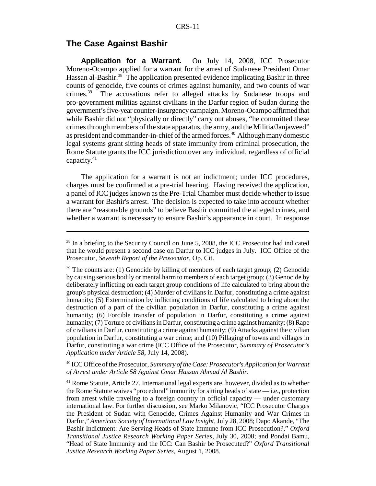## **The Case Against Bashir**

**Application for a Warrant.** On July 14, 2008, ICC Prosecutor Moreno-Ocampo applied for a warrant for the arrest of Sudanese President Omar Hassan al-Bashir.<sup>38</sup> The application presented evidence implicating Bashir in three counts of genocide, five counts of crimes against humanity, and two counts of war crimes.39 The accusations refer to alleged attacks by Sudanese troops and pro-government militias against civilians in the Darfur region of Sudan during the government's five-year counter-insurgency campaign. Moreno-Ocampo affirmed that while Bashir did not "physically or directly" carry out abuses, "he committed these crimes through members of the state apparatus, the army, and the Militia/Janjaweed" as president and commander-in-chief of the armed forces.<sup>40</sup> Although many domestic legal systems grant sitting heads of state immunity from criminal prosecution, the Rome Statute grants the ICC jurisdiction over any individual, regardless of official capacity.41

The application for a warrant is not an indictment; under ICC procedures, charges must be confirmed at a pre-trial hearing. Having received the application, a panel of ICC judges known as the Pre-Trial Chamber must decide whether to issue a warrant for Bashir's arrest. The decision is expected to take into account whether there are "reasonable grounds" to believe Bashir committed the alleged crimes, and whether a warrant is necessary to ensure Bashir's appearance in court. In response

40 ICC Office of the Prosecutor, *Summary of the Case: Prosecutor's Application for Warrant of Arrest under Article 58 Against Omar Hassan Ahmad Al Bashir*.

<sup>&</sup>lt;sup>38</sup> In a briefing to the Security Council on June 5, 2008, the ICC Prosecutor had indicated that he would present a second case on Darfur to ICC judges in July. ICC Office of the Prosecutor, *Seventh Report of the Prosecutor*, Op. Cit.

 $39$  The counts are: (1) Genocide by killing of members of each target group; (2) Genocide by causing serious bodily or mental harm to members of each target group; (3) Genocide by deliberately inflicting on each target group conditions of life calculated to bring about the group's physical destruction; (4) Murder of civilians in Darfur, constituting a crime against humanity; (5) Extermination by inflicting conditions of life calculated to bring about the destruction of a part of the civilian population in Darfur, constituting a crime against humanity; (6) Forcible transfer of population in Darfur, constituting a crime against humanity; (7) Torture of civilians in Darfur, constituting a crime against humanity; (8) Rape of civilians in Darfur, constituting a crime against humanity; (9) Attacks against the civilian population in Darfur, constituting a war crime; and (10) Pillaging of towns and villages in Darfur, constituting a war crime (ICC Office of the Prosecutor, *Summary of Prosecutor's Application under Article 58*, July 14, 2008).

<sup>&</sup>lt;sup>41</sup> Rome Statute, Article 27. International legal experts are, however, divided as to whether the Rome Statute waives "procedural" immunity for sitting heads of state — i.e., protection from arrest while traveling to a foreign country in official capacity — under customary international law. For further discussion, see Marko Milanovic, "ICC Prosecutor Charges the President of Sudan with Genocide, Crimes Against Humanity and War Crimes in Darfur," *American Society of International Law Insight*, July 28, 2008; Dapo Akande, "The Bashir Indictment: Are Serving Heads of State Immune from ICC Prosecution?," *Oxford Transitional Justice Research Working Paper Series*, July 30, 2008; and Pondai Bamu, "Head of State Immunity and the ICC: Can Bashir be Prosecuted?" *Oxford Transitional Justice Research Working Paper Series*, August 1, 2008.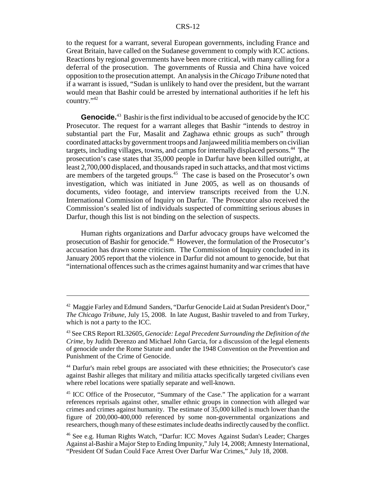to the request for a warrant, several European governments, including France and Great Britain, have called on the Sudanese government to comply with ICC actions. Reactions by regional governments have been more critical, with many calling for a deferral of the prosecution. The governments of Russia and China have voiced opposition to the prosecution attempt. An analysis in the *Chicago Tribune* noted that if a warrant is issued, "Sudan is unlikely to hand over the president, but the warrant would mean that Bashir could be arrested by international authorities if he left his country."42

**Genocide.**<sup>43</sup> Bashir is the first individual to be accused of genocide by the ICC Prosecutor. The request for a warrant alleges that Bashir "intends to destroy in substantial part the Fur, Masalit and Zaghawa ethnic groups as such" through coordinated attacks by government troops and Janjaweed militia members on civilian targets, including villages, towns, and camps for internally displaced persons.<sup>44</sup> The prosecution's case states that 35,000 people in Darfur have been killed outright, at least 2,700,000 displaced, and thousands raped in such attacks, and that most victims are members of the targeted groups.45 The case is based on the Prosecutor's own investigation, which was initiated in June 2005, as well as on thousands of documents, video footage, and interview transcripts received from the U.N. International Commission of Inquiry on Darfur. The Prosecutor also received the Commission's sealed list of individuals suspected of committing serious abuses in Darfur, though this list is not binding on the selection of suspects.

Human rights organizations and Darfur advocacy groups have welcomed the prosecution of Bashir for genocide.46 However, the formulation of the Prosecutor's accusation has drawn some criticism. The Commission of Inquiry concluded in its January 2005 report that the violence in Darfur did not amount to genocide, but that "international offences such as the crimes against humanity and war crimes that have

<sup>42</sup> Maggie Farley and Edmund Sanders, "Darfur Genocide Laid at Sudan President's Door," *The Chicago Tribune*, July 15, 2008. In late August, Bashir traveled to and from Turkey, which is not a party to the ICC.

<sup>43</sup> See CRS Report RL32605, *Genocide: Legal Precedent Surrounding the Definition of the Crime*, by Judith Derenzo and Michael John Garcia, for a discussion of the legal elements of genocide under the Rome Statute and under the 1948 Convention on the Prevention and Punishment of the Crime of Genocide.

<sup>44</sup> Darfur's main rebel groups are associated with these ethnicities; the Prosecutor's case against Bashir alleges that military and militia attacks specifically targeted civilians even where rebel locations were spatially separate and well-known.

<sup>&</sup>lt;sup>45</sup> ICC Office of the Prosecutor, "Summary of the Case." The application for a warrant references reprisals against other, smaller ethnic groups in connection with alleged war crimes and crimes against humanity. The estimate of 35,000 killed is much lower than the figure of 200,000-400,000 referenced by some non-governmental organizations and researchers, though many of these estimates include deaths indirectly caused by the conflict.

<sup>46</sup> See e.g. Human Rights Watch, "Darfur: ICC Moves Against Sudan's Leader; Charges Against al-Bashir a Major Step to Ending Impunity," July 14, 2008; Amnesty International, "President Of Sudan Could Face Arrest Over Darfur War Crimes," July 18, 2008.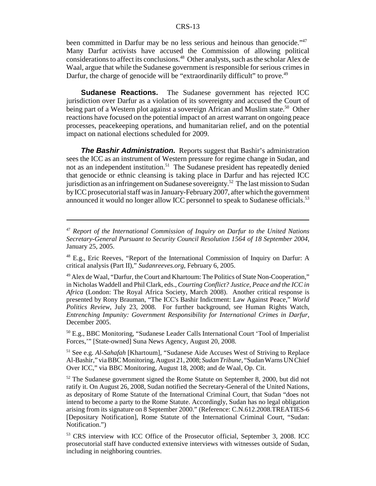been committed in Darfur may be no less serious and heinous than genocide."<sup>47</sup> Many Darfur activists have accused the Commission of allowing political considerations to affect its conclusions.48 Other analysts, such as the scholar Alex de Waal, argue that while the Sudanese government is responsible for serious crimes in Darfur, the charge of genocide will be "extraordinarily difficult" to prove.<sup>49</sup>

**Sudanese Reactions.** The Sudanese government has rejected ICC jurisdiction over Darfur as a violation of its sovereignty and accused the Court of being part of a Western plot against a sovereign African and Muslim state.<sup>50</sup> Other reactions have focused on the potential impact of an arrest warrant on ongoing peace processes, peacekeeping operations, and humanitarian relief, and on the potential impact on national elections scheduled for 2009.

**The Bashir Administration.** Reports suggest that Bashir's administration sees the ICC as an instrument of Western pressure for regime change in Sudan, and not as an independent institution.<sup>51</sup> The Sudanese president has repeatedly denied that genocide or ethnic cleansing is taking place in Darfur and has rejected ICC jurisdiction as an infringement on Sudanese sovereignty.<sup>52</sup> The last mission to Sudan by ICC prosecutorial staff was in January-February 2007, after which the government announced it would no longer allow ICC personnel to speak to Sudanese officials.<sup>53</sup>

 $50$  E.g., BBC Monitoring, "Sudanese Leader Calls International Court 'Tool of Imperialist Forces,'" [State-owned] Suna News Agency, August 20, 2008.

51 See e.g. *Al-Sahafah* [Khartoum], "Sudanese Aide Accuses West of Striving to Replace Al-Bashir," via BBC Monitoring, August 21, 2008; *Sudan Tribune*, "Sudan Warns UN Chief Over ICC," via BBC Monitoring, August 18, 2008; and de Waal, Op. Cit.

<sup>52</sup> The Sudanese government signed the Rome Statute on September 8, 2000, but did not ratify it. On August 26, 2008, Sudan notified the Secretary-General of the United Nations, as depositary of Rome Statute of the International Criminal Court, that Sudan "does not intend to become a party to the Rome Statute. Accordingly, Sudan has no legal obligation arising from its signature on 8 September 2000." (Reference: C.N.612.2008.TREATIES-6 [Depositary Notification], Rome Statute of the International Criminal Court, "Sudan: Notification.")

<sup>47</sup> *Report of the International Commission of Inquiry on Darfur to the United Nations Secretary-General Pursuant to Security Council Resolution 1564 of 18 September 2004*, January 25, 2005.

<sup>48</sup> E.g., Eric Reeves, "Report of the International Commission of Inquiry on Darfur: A critical analysis (Part II)," *Sudanreeves.org*, February 6, 2005.

<sup>49</sup> Alex de Waal, "Darfur, the Court and Khartoum: The Politics of State Non-Cooperation," in Nicholas Waddell and Phil Clark, eds., *Courting Conflict? Justice, Peace and the ICC in Africa* (London: The Royal Africa Society, March 2008). Another critical response is presented by Rony Brauman, "The ICC's Bashir Indictment: Law Against Peace," *World Politics Review*, July 23, 2008. For further background, see Human Rights Watch, *Entrenching Impunity: Government Responsibility for International Crimes in Darfur*, December 2005.

<sup>53</sup> CRS interview with ICC Office of the Prosecutor official, September 3, 2008. ICC prosecutorial staff have conducted extensive interviews with witnesses outside of Sudan, including in neighboring countries.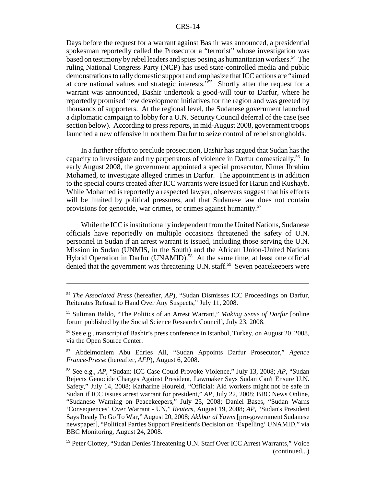#### CRS-14

Days before the request for a warrant against Bashir was announced, a presidential spokesman reportedly called the Prosecutor a "terrorist" whose investigation was based on testimony by rebel leaders and spies posing as humanitarian workers.<sup>54</sup> The ruling National Congress Party (NCP) has used state-controlled media and public demonstrations to rally domestic support and emphasize that ICC actions are "aimed at core national values and strategic interests."55 Shortly after the request for a warrant was announced, Bashir undertook a good-will tour to Darfur, where he reportedly promised new development initiatives for the region and was greeted by thousands of supporters. At the regional level, the Sudanese government launched a diplomatic campaign to lobby for a U.N. Security Council deferral of the case (see section below). According to press reports, in mid-August 2008, government troops launched a new offensive in northern Darfur to seize control of rebel strongholds.

In a further effort to preclude prosecution, Bashir has argued that Sudan has the capacity to investigate and try perpetrators of violence in Darfur domestically.<sup>56</sup> In early August 2008, the government appointed a special prosecutor, Nimer Ibrahim Mohamed, to investigate alleged crimes in Darfur. The appointment is in addition to the special courts created after ICC warrants were issued for Harun and Kushayb. While Mohamed is reportedly a respected lawyer, observers suggest that his efforts will be limited by political pressures, and that Sudanese law does not contain provisions for genocide, war crimes, or crimes against humanity.<sup>57</sup>

While the ICC is institutionally independent from the United Nations, Sudanese officials have reportedly on multiple occasions threatened the safety of U.N. personnel in Sudan if an arrest warrant is issued, including those serving the U.N. Mission in Sudan (UNMIS, in the South) and the African Union-United Nations Hybrid Operation in Darfur (UNAMID).<sup>58</sup> At the same time, at least one official denied that the government was threatening U.N. staff.<sup>59</sup> Seven peacekeepers were

<sup>54</sup> *The Associated Press* (hereafter, *AP*), "Sudan Dismisses ICC Proceedings on Darfur, Reiterates Refusal to Hand Over Any Suspects," July 11, 2008.

<sup>55</sup> Suliman Baldo, "The Politics of an Arrest Warrant," *Making Sense of Darfur* [online forum published by the Social Science Research Council], July 23, 2008.

<sup>56</sup> See e.g., transcript of Bashir's press conference in Istanbul, Turkey, on August 20, 2008, via the Open Source Center.

<sup>57</sup> Abdelmoniem Abu Edries Ali, "Sudan Appoints Darfur Prosecutor," *Agence France-Presse* (hereafter, *AFP*), August 6, 2008.

<sup>58</sup> See e.g., *AP*, "Sudan: ICC Case Could Provoke Violence," July 13, 2008; *AP*, "Sudan Rejects Genocide Charges Against President, Lawmaker Says Sudan Can't Ensure U.N. Safety," July 14, 2008; Katharine Houreld, "Official: Aid workers might not be safe in Sudan if ICC issues arrest warrant for president," *AP*, July 22, 2008; BBC News Online, "Sudanese Warning on Peacekeepers," July 25, 2008; Daniel Bases, "Sudan Warns 'Consequences' Over Warrant - UN," *Reuters*, August 19, 2008; *AP*, "Sudan's President Says Ready To Go To War," August 20, 2008; *Akhbar al Yawm* [pro-government Sudanese newspaper], "Political Parties Support President's Decision on 'Expelling' UNAMID," via BBC Monitoring, August 24, 2008.

<sup>&</sup>lt;sup>59</sup> Peter Clottey, "Sudan Denies Threatening U.N. Staff Over ICC Arrest Warrants," Voice (continued...)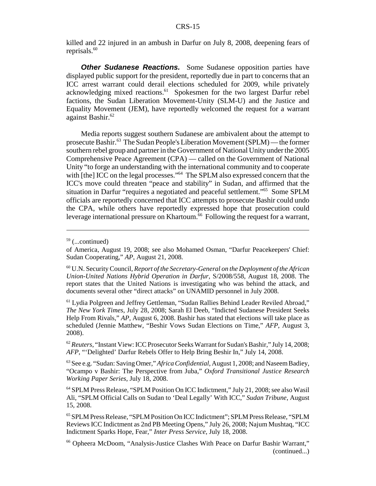killed and 22 injured in an ambush in Darfur on July 8, 2008, deepening fears of reprisals.<sup>60</sup>

**Other Sudanese Reactions.** Some Sudanese opposition parties have displayed public support for the president, reportedly due in part to concerns that an ICC arrest warrant could derail elections scheduled for 2009, while privately acknowledging mixed reactions.<sup>61</sup> Spokesmen for the two largest Darfur rebel factions, the Sudan Liberation Movement-Unity (SLM-U) and the Justice and Equality Movement (JEM), have reportedly welcomed the request for a warrant against Bashir.<sup>62</sup>

Media reports suggest southern Sudanese are ambivalent about the attempt to prosecute Bashir.63 The Sudan People's Liberation Movement (SPLM) — the former southern rebel group and partner in the Government of National Unity under the 2005 Comprehensive Peace Agreement (CPA) — called on the Government of National Unity "to forge an understanding with the international community and to cooperate with [the] ICC on the legal processes."<sup>64</sup> The SPLM also expressed concern that the ICC's move could threaten "peace and stability" in Sudan, and affirmed that the situation in Darfur "requires a negotiated and peaceful settlement."65 Some SPLM officials are reportedly concerned that ICC attempts to prosecute Bashir could undo the CPA, while others have reportedly expressed hope that prosecution could leverage international pressure on Khartoum. $66$  Following the request for a warrant,

 $59$  (...continued)

of America, August 19, 2008; see also Mohamed Osman, "Darfur Peacekeepers' Chief: Sudan Cooperating," *AP*, August 21, 2008.

<sup>60</sup> U.N. Security Council, *Report of the Secretary-General on the Deployment of the African Union-United Nations Hybrid Operation in Darfur*, S/2008/558, August 18, 2008. The report states that the United Nations is investigating who was behind the attack, and documents several other "direct attacks" on UNAMID personnel in July 2008.

<sup>61</sup> Lydia Polgreen and Jeffrey Gettleman, "Sudan Rallies Behind Leader Reviled Abroad," *The New York Times*, July 28, 2008; Sarah El Deeb, "Indicted Sudanese President Seeks Help From Rivals," *AP*, August 6, 2008. Bashir has stated that elections will take place as scheduled (Jennie Matthew, "Beshir Vows Sudan Elections on Time," *AFP*, August 3, 2008).

<sup>62</sup> *Reuters*, "Instant View: ICC Prosecutor Seeks Warrant for Sudan's Bashir," July 14, 2008; *AFP*, "'Delighted' Darfur Rebels Offer to Help Bring Beshir In," July 14, 2008.

<sup>63</sup> See e.g. "Sudan: Saving Omer," *Africa Confidential*, August 1, 2008; and Naseem Badiey, "Ocampo v Bashir: The Perspective from Juba," *Oxford Transitional Justice Research Working Paper Series*, July 18, 2008.

<sup>64</sup> SPLM Press Release, "SPLM Position On ICC Indictment," July 21, 2008; see also Wasil Ali, "SPLM Official Calls on Sudan to 'Deal Legally' With ICC," *Sudan Tribune*, August 15, 2008.

<sup>65</sup> SPLM Press Release, "SPLM Position On ICC Indictment"; SPLM Press Release, "SPLM Reviews ICC Indictment as 2nd PB Meeting Opens," July 26, 2008; Najum Mushtaq, "ICC Indictment Sparks Hope, Fear," *Inter Press Service*, July 18, 2008.

<sup>66</sup> Opheera McDoom, "Analysis-Justice Clashes With Peace on Darfur Bashir Warrant," (continued...)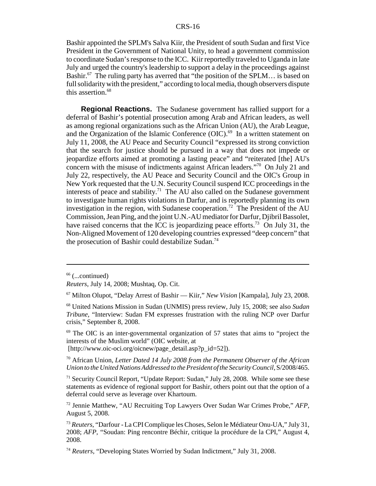Bashir appointed the SPLM's Salva Kiir, the President of south Sudan and first Vice President in the Government of National Unity, to head a government commission to coordinate Sudan's response to the ICC. Kiir reportedly traveled to Uganda in late July and urged the country's leadership to support a delay in the proceedings against Bashir.<sup>67</sup> The ruling party has averred that "the position of the SPLM... is based on full solidarity with the president," according to local media, though observers dispute this assertion.<sup>68</sup>

**Regional Reactions.** The Sudanese government has rallied support for a deferral of Bashir's potential prosecution among Arab and African leaders, as well as among regional organizations such as the African Union (AU), the Arab League, and the Organization of the Islamic Conference  $(OIC)$ .<sup>69</sup> In a written statement on July 11, 2008, the AU Peace and Security Council "expressed its strong conviction that the search for justice should be pursued in a way that does not impede or jeopardize efforts aimed at promoting a lasting peace" and "reiterated [the] AU's concern with the misuse of indictments against African leaders."70 On July 21 and July 22, respectively, the AU Peace and Security Council and the OIC's Group in New York requested that the U.N. Security Council suspend ICC proceedings in the interests of peace and stability.<sup>71</sup> The AU also called on the Sudanese government to investigate human rights violations in Darfur, and is reportedly planning its own investigation in the region, with Sudanese cooperation.<sup>72</sup> The President of the AU Commission, Jean Ping, and the joint U.N.-AU mediator for Darfur, Djibril Bassolet, have raised concerns that the ICC is jeopardizing peace efforts.<sup>73</sup> On July 31, the Non-Aligned Movement of 120 developing countries expressed "deep concern" that the prosecution of Bashir could destabilize Sudan.<sup>74</sup>

 $69$  The OIC is an inter-governmental organization of 57 states that aims to "project the interests of the Muslim world" (OIC website, at

[http://www.oic-oci.org/oicnew/page\_detail.asp?p\_id=52]).

 $71$  Security Council Report, "Update Report: Sudan," July 28, 2008. While some see these statements as evidence of regional support for Bashir, others point out that the option of a deferral could serve as leverage over Khartoum.

 $66$  (...continued)

*Reuters*, July 14, 2008; Mushtaq, Op. Cit.

<sup>67</sup> Milton Olupot, "Delay Arrest of Bashir — Kiir," *New Vision* [Kampala], July 23, 2008.

<sup>68</sup> United Nations Mission in Sudan (UNMIS) press review, July 15, 2008; see also *Sudan Tribune*, "Interview: Sudan FM expresses frustration with the ruling NCP over Darfur crisis," September 8, 2008.

<sup>70</sup> African Union, *Letter Dated 14 July 2008 from the Permanent Observer of the African Union to the United Nations Addressed to the President of the Security Council*, S/2008/465.

<sup>72</sup> Jennie Matthew, "AU Recruiting Top Lawyers Over Sudan War Crimes Probe," *AFP*, August 5, 2008.

<sup>73</sup> *Reuters*, "Darfour - La CPI Complique les Choses, Selon le Médiateur Onu-UA," July 31, 2008; *AFP*, "Soudan: Ping rencontre Béchir, critique la procédure de la CPI," August 4, 2008.

<sup>74</sup> *Reuters*, "Developing States Worried by Sudan Indictment," July 31, 2008.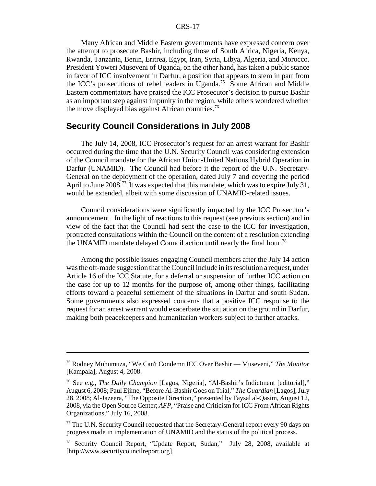#### CRS-17

Many African and Middle Eastern governments have expressed concern over the attempt to prosecute Bashir, including those of South Africa, Nigeria, Kenya, Rwanda, Tanzania, Benin, Eritrea, Egypt, Iran, Syria, Libya, Algeria, and Morocco. President Yoweri Museveni of Uganda, on the other hand, has taken a public stance in favor of ICC involvement in Darfur, a position that appears to stem in part from the ICC's prosecutions of rebel leaders in Uganda.<sup>75</sup> Some African and Middle Eastern commentators have praised the ICC Prosecutor's decision to pursue Bashir as an important step against impunity in the region, while others wondered whether the move displayed bias against African countries.<sup>76</sup>

#### **Security Council Considerations in July 2008**

The July 14, 2008, ICC Prosecutor's request for an arrest warrant for Bashir occurred during the time that the U.N. Security Council was considering extension of the Council mandate for the African Union-United Nations Hybrid Operation in Darfur (UNAMID). The Council had before it the report of the U.N. Secretary-General on the deployment of the operation, dated July 7 and covering the period April to June 2008.<sup>77</sup> It was expected that this mandate, which was to expire July 31, would be extended, albeit with some discussion of UNAMID-related issues.

Council considerations were significantly impacted by the ICC Prosecutor's announcement. In the light of reactions to this request (see previous section) and in view of the fact that the Council had sent the case to the ICC for investigation, protracted consultations within the Council on the content of a resolution extending the UNAMID mandate delayed Council action until nearly the final hour.78

Among the possible issues engaging Council members after the July 14 action was the oft-made suggestion that the Council include in its resolution a request, under Article 16 of the ICC Statute, for a deferral or suspension of further ICC action on the case for up to 12 months for the purpose of, among other things, facilitating efforts toward a peaceful settlement of the situations in Darfur and south Sudan. Some governments also expressed concerns that a positive ICC response to the request for an arrest warrant would exacerbate the situation on the ground in Darfur, making both peacekeepers and humanitarian workers subject to further attacks.

<sup>75</sup> Rodney Muhumuza, "We Can't Condemn ICC Over Bashir — Museveni," *The Monitor* [Kampala], August 4, 2008.

<sup>76</sup> See e.g., *The Daily Champion* [Lagos, Nigeria], "Al-Bashir's Indictment [editorial]," August 6, 2008; Paul Ejime, "Before Al-Bashir Goes on Trial," *The Guardian* [Lagos], July 28, 2008; Al-Jazeera, "The Opposite Direction," presented by Faysal al-Qasim, August 12, 2008, via the Open Source Center; *AFP*, "Praise and Criticism for ICC From African Rights Organizations," July 16, 2008.

<sup>&</sup>lt;sup>77</sup> The U.N. Security Council requested that the Secretary-General report every 90 days on progress made in implementation of UNAMID and the status of the political process.

<sup>78</sup> Security Council Report, "Update Report, Sudan," July 28, 2008, available at [http://www.securitycouncilreport.org].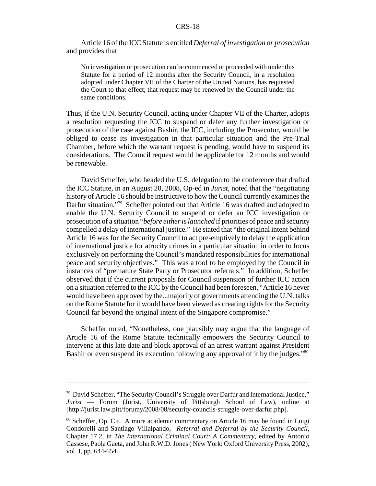Article 16 of the ICC Statute is entitled *Deferral of investigation or prosecution* and provides that

No investigation or prosecution can be commenced or proceeded with under this Statute for a period of 12 months after the Security Council, in a resolution adopted under Chapter VII of the Charter of the United Nations, has requested the Court to that effect; that request may be renewed by the Council under the same conditions.

Thus, if the U.N. Security Council, acting under Chapter VII of the Charter, adopts a resolution requesting the ICC to suspend or defer any further investigation or prosecution of the case against Bashir, the ICC, including the Prosecutor, would be obliged to cease its investigation in that particular situation and the Pre-Trial Chamber, before which the warrant request is pending, would have to suspend its considerations. The Council request would be applicable for 12 months and would be renewable.

David Scheffer, who headed the U.S. delegation to the conference that drafted the ICC Statute, in an August 20, 2008, Op-ed in *Jurist*, noted that the "negotiating history of Article 16 should be instructive to how the Council currently examines the Darfur situation."<sup>79</sup> Scheffer pointed out that Article 16 was drafted and adopted to enable the U.N. Security Council to suspend or defer an ICC investigation or prosecution of a situation "*before either is launched* if priorities of peace and security compelled a delay of international justice." He stated that "the original intent behind Article 16 was for the Security Council to act pre-emptively to delay the application of international justice for atrocity crimes in a particular situation in order to focus exclusively on performing the Council's mandated responsibilities for international peace and security objectives." This was a tool to be employed by the Council in instances of "premature State Party or Prosecutor referrals." In addition, Scheffer observed that if the current proposals for Council suspension of further ICC action on a situation referred to the ICC by the Council had been foreseen, "Article 16 never would have been approved by the...majority of governments attending the U.N. talks on the Rome Statute for it would have been viewed as creating rights for the Security Council far beyond the original intent of the Singapore compromise."

Scheffer noted, "Nonetheless, one plausibly may argue that the language of Article 16 of the Rome Statute technically empowers the Security Council to intervene at this late date and block approval of an arrest warrant against President Bashir or even suspend its execution following any approval of it by the judges."<sup>80</sup>

 $79$  David Scheffer, "The Security Council's Struggle over Darfur and International Justice," *Jurist* — Forum (Jurist, University of Pittsburgh School of Law), online at [http://jurist.law.pitt/forumy/2008/08/security-councils-struggle-over-darfur.php].

<sup>&</sup>lt;sup>80</sup> Scheffer, Op. Cit. A more academic commentary on Article 16 may be found in Luigi Condorelli and Santiago Villalpando, *Referral and Deferral by the Security Council,* Chapter 17.2, in *The International Criminal Court: A Commentary*, edited by Antonio Cassese, Paola Gaeta, and John R.W.D. Jones ( New York: Oxford University Press, 2002), vol. I, pp. 644-654.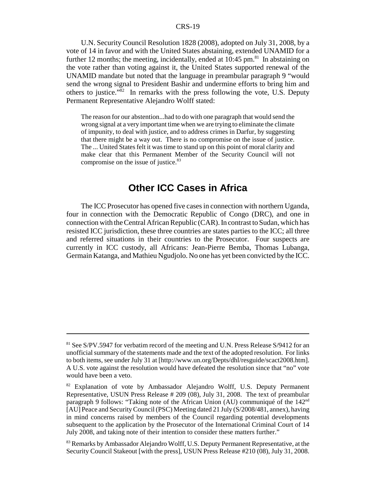#### CRS-19

U.N. Security Council Resolution 1828 (2008), adopted on July 31, 2008, by a vote of 14 in favor and with the United States abstaining, extended UNAMID for a further 12 months; the meeting, incidentally, ended at  $10:45$  pm.<sup>81</sup> In abstaining on the vote rather than voting against it, the United States supported renewal of the UNAMID mandate but noted that the language in preambular paragraph 9 "would send the wrong signal to President Bashir and undermine efforts to bring him and others to justice.<sup> $n\bar{8}2$ </sup> In remarks with the press following the vote, U.S. Deputy Permanent Representative Alejandro Wolff stated:

The reason for our abstention...had to do with one paragraph that would send the wrong signal at a very important time when we are trying to eliminate the climate of impunity, to deal with justice, and to address crimes in Darfur, by suggesting that there might be a way out. There is no compromise on the issue of justice. The ... United States felt it was time to stand up on this point of moral clarity and make clear that this Permanent Member of the Security Council will not compromise on the issue of justice.<sup>83</sup>

## **Other ICC Cases in Africa**

The ICC Prosecutor has opened five cases in connection with northern Uganda, four in connection with the Democratic Republic of Congo (DRC), and one in connection with the Central African Republic (CAR). In contrast to Sudan, which has resisted ICC jurisdiction, these three countries are states parties to the ICC; all three and referred situations in their countries to the Prosecutor. Four suspects are currently in ICC custody, all Africans: Jean-Pierre Bemba, Thomas Lubanga, Germain Katanga, and Mathieu Ngudjolo. No one has yet been convicted by the ICC.

<sup>&</sup>lt;sup>81</sup> See S/PV.5947 for verbatim record of the meeting and U.N. Press Release S/9412 for an unofficial summary of the statements made and the text of the adopted resolution. For links to both items, see under July 31 at [http://www.un.org/Depts/dhl/resguide/scact2008.htm]. A U.S. vote against the resolution would have defeated the resolution since that "no" vote would have been a veto.

<sup>&</sup>lt;sup>82</sup> Explanation of vote by Ambassador Alejandro Wolff, U.S. Deputy Permanent Representative, USUN Press Release # 209 (08), July 31, 2008. The text of preambular paragraph 9 follows: "Taking note of the African Union (AU) communiqué of the 142<sup>nd</sup> [AU] Peace and Security Council (PSC) Meeting dated 21 July (S/2008/481, annex), having in mind concerns raised by members of the Council regarding potential developments subsequent to the application by the Prosecutor of the International Criminal Court of 14 July 2008, and taking note of their intention to consider these matters further."

<sup>&</sup>lt;sup>83</sup> Remarks by Ambassador Alejandro Wolff, U.S. Deputy Permanent Representative, at the Security Council Stakeout [with the press], USUN Press Release #210 (08), July 31, 2008.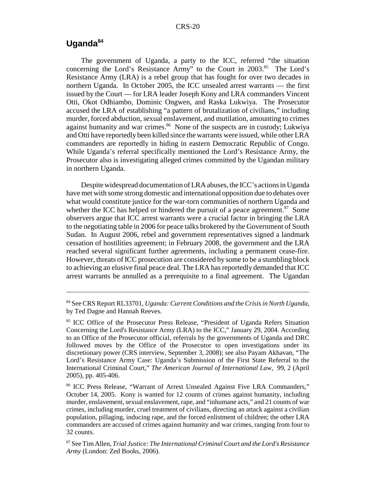## **Uganda<sup>84</sup>**

The government of Uganda, a party to the ICC, referred "the situation concerning the Lord's Resistance Army" to the Court in 2003.<sup>85</sup> The Lord's Resistance Army (LRA) is a rebel group that has fought for over two decades in northern Uganda. In October 2005, the ICC unsealed arrest warrants — the first issued by the Court — for LRA leader Joseph Kony and LRA commanders Vincent Otti, Okot Odhiambo, Dominic Ongwen, and Raska Lukwiya. The Prosecutor accused the LRA of establishing "a pattern of brutalization of civilians," including murder, forced abduction, sexual enslavement, and mutilation, amounting to crimes against humanity and war crimes.<sup>86</sup> None of the suspects are in custody; Lukwiya and Otti have reportedly been killed since the warrants were issued, while other LRA commanders are reportedly in hiding in eastern Democratic Republic of Congo. While Uganda's referral specifically mentioned the Lord's Resistance Army, the Prosecutor also is investigating alleged crimes committed by the Ugandan military in northern Uganda.

Despite widespread documentation of LRA abuses, the ICC's actions in Uganda have met with some strong domestic and international opposition due to debates over what would constitute justice for the war-torn communities of northern Uganda and whether the ICC has helped or hindered the pursuit of a peace agreement.<sup>87</sup> Some observers argue that ICC arrest warrants were a crucial factor in bringing the LRA to the negotiating table in 2006 for peace talks brokered by the Government of South Sudan. In August 2006, rebel and government representatives signed a landmark cessation of hostilities agreement; in February 2008, the government and the LRA reached several significant further agreements, including a permanent cease-fire. However, threats of ICC prosecution are considered by some to be a stumbling block to achieving an elusive final peace deal. The LRA has reportedly demanded that ICC arrest warrants be annulled as a prerequisite to a final agreement. The Ugandan

<sup>84</sup> See CRS Report RL33701, *Uganda: Current Conditions and the Crisis in North Uganda*, by Ted Dagne and Hannah Reeves.

<sup>85</sup> ICC Office of the Prosecutor Press Release, "President of Uganda Refers Situation Concerning the Lord's Resistance Army (LRA) to the ICC," January 29, 2004. According to an Office of the Prosecutor official, referrals by the governments of Uganda and DRC followed moves by the Office of the Prosecutor to open investigations under its discretionary power (CRS interview, September 3, 2008); see also Payam Akhavan, "The Lord's Resistance Army Case: Uganda's Submission of the First State Referral to the International Criminal Court," *The American Journal of International Law*, 99, 2 (April 2005), pp. 405-406.

<sup>86</sup> ICC Press Release, "Warrant of Arrest Unsealed Against Five LRA Commanders," October 14, 2005. Kony is wanted for 12 counts of crimes against humanity, including murder, enslavement, sexual enslavement, rape, and "inhumane acts," and 21 counts of war crimes, including murder, cruel treatment of civilians, directing an attack against a civilian population, pillaging, inducing rape, and the forced enlistment of children; the other LRA commanders are accused of crimes against humanity and war crimes, ranging from four to 32 counts.

<sup>87</sup> See Tim Allen, *Trial Justice: The International Criminal Court and the Lord's Resistance Army* (London: Zed Books, 2006).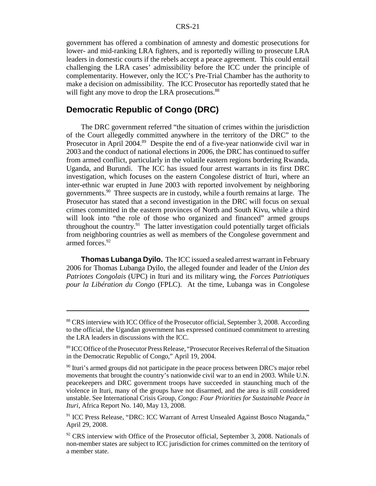government has offered a combination of amnesty and domestic prosecutions for lower- and mid-ranking LRA fighters, and is reportedly willing to prosecute LRA leaders in domestic courts if the rebels accept a peace agreement. This could entail challenging the LRA cases' admissibility before the ICC under the principle of complementarity. However, only the ICC's Pre-Trial Chamber has the authority to make a decision on admissibility. The ICC Prosecutor has reportedly stated that he will fight any move to drop the LRA prosecutions.<sup>88</sup>

## **Democratic Republic of Congo (DRC)**

The DRC government referred "the situation of crimes within the jurisdiction of the Court allegedly committed anywhere in the territory of the DRC" to the Prosecutor in April 2004.<sup>89</sup> Despite the end of a five-year nationwide civil war in 2003 and the conduct of national elections in 2006, the DRC has continued to suffer from armed conflict, particularly in the volatile eastern regions bordering Rwanda, Uganda, and Burundi. The ICC has issued four arrest warrants in its first DRC investigation, which focuses on the eastern Congolese district of Ituri, where an inter-ethnic war erupted in June 2003 with reported involvement by neighboring governments.90 Three suspects are in custody, while a fourth remains at large. The Prosecutor has stated that a second investigation in the DRC will focus on sexual crimes committed in the eastern provinces of North and South Kivu, while a third will look into "the role of those who organized and financed" armed groups throughout the country.<sup>91</sup> The latter investigation could potentially target officials from neighboring countries as well as members of the Congolese government and armed forces.<sup>92</sup>

**Thomas Lubanga Dyilo.** The ICC issued a sealed arrest warrant in February 2006 for Thomas Lubanga Dyilo, the alleged founder and leader of the *Union des Patriotes Congolais* (UPC) in Ituri and its military wing, the *Forces Patriotiques pour la Libération du Congo* (FPLC). At the time, Lubanga was in Congolese

<sup>&</sup>lt;sup>88</sup> CRS interview with ICC Office of the Prosecutor official, September 3, 2008. According to the official, the Ugandan government has expressed continued commitment to arresting the LRA leaders in discussions with the ICC.

<sup>89</sup> ICC Office of the Prosecutor Press Release, "Prosecutor Receives Referral of the Situation in the Democratic Republic of Congo," April 19, 2004.

<sup>&</sup>lt;sup>90</sup> Ituri's armed groups did not participate in the peace process between DRC's major rebel movements that brought the country's nationwide civil war to an end in 2003. While U.N. peacekeepers and DRC government troops have succeeded in staunching much of the violence in Ituri, many of the groups have not disarmed, and the area is still considered unstable. See International Crisis Group, *Congo: Four Priorities for Sustainable Peace in Ituri*, Africa Report No. 140, May 13, 2008.

<sup>91</sup> ICC Press Release, "DRC: ICC Warrant of Arrest Unsealed Against Bosco Ntaganda," April 29, 2008.

 $92$  CRS interview with Office of the Prosecutor official, September 3, 2008. Nationals of non-member states are subject to ICC jurisdiction for crimes committed on the territory of a member state.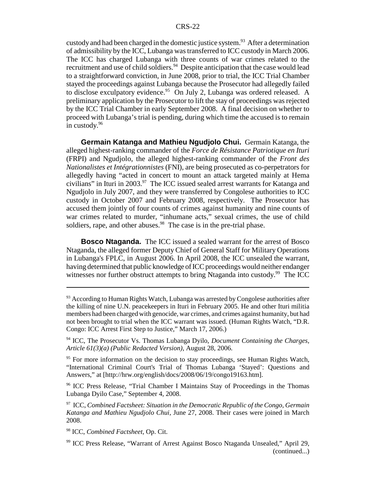custody and had been charged in the domestic justice system.<sup>93</sup> After a determination of admissibility by the ICC, Lubanga was transferred to ICC custody in March 2006. The ICC has charged Lubanga with three counts of war crimes related to the recruitment and use of child soldiers.<sup>94</sup> Despite anticipation that the case would lead to a straightforward conviction, in June 2008, prior to trial, the ICC Trial Chamber stayed the proceedings against Lubanga because the Prosecutor had allegedly failed to disclose exculpatory evidence.<sup>95</sup> On July 2, Lubanga was ordered released. A preliminary application by the Prosecutor to lift the stay of proceedings was rejected by the ICC Trial Chamber in early September 2008. A final decision on whether to proceed with Lubanga's trial is pending, during which time the accused is to remain in custody. $96$ 

**Germain Katanga and Mathieu Ngudjolo Chui.** Germain Katanga, the alleged highest-ranking commander of the *Force de Résistance Patriotique en Ituri* (FRPI) and Ngudjolo, the alleged highest-ranking commander of the *Front des Nationalistes et Intégrationnistes* (FNI), are being prosecuted as co-perpetrators for allegedly having "acted in concert to mount an attack targeted mainly at Hema civilians" in Ituri in 2003.<sup>97</sup> The ICC issued sealed arrest warrants for Katanga and Ngudjolo in July 2007, and they were transferred by Congolese authorities to ICC custody in October 2007 and February 2008, respectively. The Prosecutor has accused them jointly of four counts of crimes against humanity and nine counts of war crimes related to murder, "inhumane acts," sexual crimes, the use of child soldiers, rape, and other abuses.  $98$  The case is in the pre-trial phase.

**Bosco Ntaganda.** The ICC issued a sealed warrant for the arrest of Bosco Ntaganda, the alleged former Deputy Chief of General Staff for Military Operations in Lubanga's FPLC, in August 2006. In April 2008, the ICC unsealed the warrant, having determined that public knowledge of ICC proceedings would neither endanger witnesses nor further obstruct attempts to bring Ntaganda into custody.<sup>99</sup> The ICC

96 ICC Press Release, "Trial Chamber I Maintains Stay of Proceedings in the Thomas Lubanga Dyilo Case," September 4, 2008.

97 ICC, *Combined Factsheet: Situation in the Democratic Republic of the Congo, Germain Katanga and Mathieu Ngudjolo Chui*, June 27, 2008. Their cases were joined in March 2008.

98 ICC, *Combined Factsheet*, Op. Cit.

 $93$  According to Human Rights Watch, Lubanga was arrested by Congolese authorities after the killing of nine U.N. peacekeepers in Ituri in February 2005. He and other Ituri militia members had been charged with genocide, war crimes, and crimes against humanity, but had not been brought to trial when the ICC warrant was issued. (Human Rights Watch, "D.R. Congo: ICC Arrest First Step to Justice," March 17, 2006.)

<sup>94</sup> ICC, The Prosecutor Vs. Thomas Lubanga Dyilo, *Document Containing the Charges, Article 61(3)(a) (Public Redacted Version)*, August 28, 2006.

<sup>&</sup>lt;sup>95</sup> For more information on the decision to stay proceedings, see Human Rights Watch, "International Criminal Court's Trial of Thomas Lubanga 'Stayed': Questions and Answers," at [http://hrw.org/english/docs/2008/06/19/congo19163.htm].

<sup>99</sup> ICC Press Release, "Warrant of Arrest Against Bosco Ntaganda Unsealed," April 29, (continued...)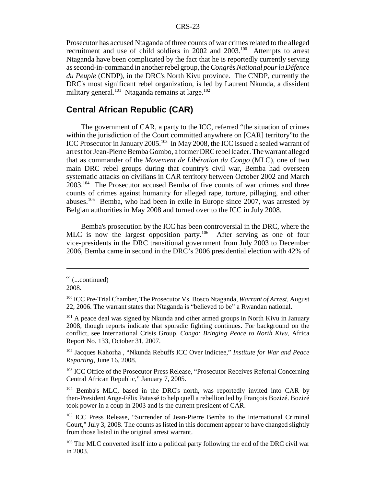Prosecutor has accused Ntaganda of three counts of war crimes related to the alleged recruitment and use of child soldiers in 2002 and 2003.100 Attempts to arrest Ntaganda have been complicated by the fact that he is reportedly currently serving as second-in-command in another rebel group, the *Congrès National pour la Défence du Peuple* (CNDP), in the DRC's North Kivu province. The CNDP, currently the DRC's most significant rebel organization, is led by Laurent Nkunda, a dissident military general.<sup>101</sup> Ntaganda remains at large.<sup>102</sup>

## **Central African Republic (CAR)**

The government of CAR, a party to the ICC, referred "the situation of crimes within the jurisdiction of the Court committed anywhere on [CAR] territory"to the ICC Prosecutor in January 2005.103 In May 2008, the ICC issued a sealed warrant of arrest for Jean-Pierre Bemba Gombo, a former DRC rebel leader. The warrant alleged that as commander of the *Movement de Libération du Congo* (MLC), one of two main DRC rebel groups during that country's civil war, Bemba had overseen systematic attacks on civilians in CAR territory between October 2002 and March 2003.104 The Prosecutor accused Bemba of five counts of war crimes and three counts of crimes against humanity for alleged rape, torture, pillaging, and other abuses.105 Bemba, who had been in exile in Europe since 2007, was arrested by Belgian authorities in May 2008 and turned over to the ICC in July 2008.

Bemba's prosecution by the ICC has been controversial in the DRC, where the MLC is now the largest opposition party.<sup>106</sup> After serving as one of four vice-presidents in the DRC transitional government from July 2003 to December 2006, Bemba came in second in the DRC's 2006 presidential election with 42% of

2008.

 $99$  (...continued)

<sup>100</sup> ICC Pre-Trial Chamber, The Prosecutor Vs. Bosco Ntaganda, *Warrant of Arrest*, August 22, 2006. The warrant states that Ntaganda is "believed to be" a Rwandan national.

<sup>&</sup>lt;sup>101</sup> A peace deal was signed by Nkunda and other armed groups in North Kivu in January 2008, though reports indicate that sporadic fighting continues. For background on the conflict, see International Crisis Group, *Congo: Bringing Peace to North Kivu*, Africa Report No. 133, October 31, 2007.

<sup>102</sup> Jacques Kahorha , "Nkunda Rebuffs ICC Over Indictee," *Institute for War and Peace Reporting*, June 16, 2008.

<sup>&</sup>lt;sup>103</sup> ICC Office of the Prosecutor Press Release, "Prosecutor Receives Referral Concerning Central African Republic," January 7, 2005.

<sup>&</sup>lt;sup>104</sup> Bemba's MLC, based in the DRC's north, was reportedly invited into CAR by then-President Ange-Félix Patassé to help quell a rebellion led by François Bozizé. Bozizé took power in a coup in 2003 and is the current president of CAR.

<sup>105</sup> ICC Press Release, "Surrender of Jean-Pierre Bemba to the International Criminal Court," July 3, 2008. The counts as listed in this document appear to have changed slightly from those listed in the original arrest warrant.

<sup>&</sup>lt;sup>106</sup> The MLC converted itself into a political party following the end of the DRC civil war in 2003.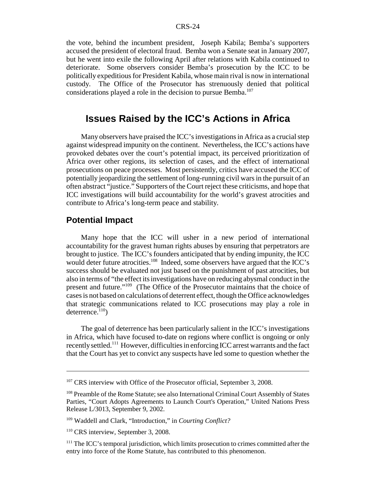the vote, behind the incumbent president, Joseph Kabila; Bemba's supporters accused the president of electoral fraud. Bemba won a Senate seat in January 2007, but he went into exile the following April after relations with Kabila continued to deteriorate. Some observers consider Bemba's prosecution by the ICC to be politically expeditious for President Kabila, whose main rival is now in international custody. The Office of the Prosecutor has strenuously denied that political considerations played a role in the decision to pursue Bemba.<sup>107</sup>

## **Issues Raised by the ICC's Actions in Africa**

Many observers have praised the ICC's investigations in Africa as a crucial step against widespread impunity on the continent. Nevertheless, the ICC's actions have provoked debates over the court's potential impact, its perceived prioritization of Africa over other regions, its selection of cases, and the effect of international prosecutions on peace processes. Most persistently, critics have accused the ICC of potentially jeopardizing the settlement of long-running civil wars in the pursuit of an often abstract "justice." Supporters of the Court reject these criticisms, and hope that ICC investigations will build accountability for the world's gravest atrocities and contribute to Africa's long-term peace and stability.

## **Potential Impact**

Many hope that the ICC will usher in a new period of international accountability for the gravest human rights abuses by ensuring that perpetrators are brought to justice. The ICC's founders anticipated that by ending impunity, the ICC would deter future atrocities.<sup>108</sup> Indeed, some observers have argued that the ICC's success should be evaluated not just based on the punishment of past atrocities, but also in terms of "the effect its investigations have on reducing abysmal conduct in the present and future."109 (The Office of the Prosecutor maintains that the choice of cases is not based on calculations of deterrent effect, though the Office acknowledges that strategic communications related to ICC prosecutions may play a role in deterrence. $110$ )

The goal of deterrence has been particularly salient in the ICC's investigations in Africa, which have focused to-date on regions where conflict is ongoing or only recently settled.111 However, difficulties in enforcing ICC arrest warrants and the fact that the Court has yet to convict any suspects have led some to question whether the

<sup>&</sup>lt;sup>107</sup> CRS interview with Office of the Prosecutor official, September 3, 2008.

<sup>108</sup> Preamble of the Rome Statute; see also International Criminal Court Assembly of States Parties, "Court Adopts Agreements to Launch Court's Operation," United Nations Press Release L/3013, September 9, 2002.

<sup>109</sup> Waddell and Clark, "Introduction," in *Courting Conflict?*

<sup>&</sup>lt;sup>110</sup> CRS interview, September 3, 2008.

<sup>&</sup>lt;sup>111</sup> The ICC's temporal jurisdiction, which limits prosecution to crimes committed after the entry into force of the Rome Statute, has contributed to this phenomenon.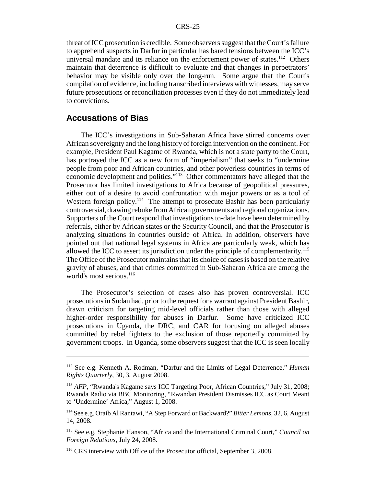threat of ICC prosecution is credible. Some observers suggest that the Court's failure to apprehend suspects in Darfur in particular has bared tensions between the ICC's universal mandate and its reliance on the enforcement power of states.<sup>112</sup> Others maintain that deterrence is difficult to evaluate and that changes in perpetrators' behavior may be visible only over the long-run. Some argue that the Court's compilation of evidence, including transcribed interviews with witnesses, may serve future prosecutions or reconciliation processes even if they do not immediately lead to convictions.

## **Accusations of Bias**

The ICC's investigations in Sub-Saharan Africa have stirred concerns over African sovereignty and the long history of foreign intervention on the continent. For example, President Paul Kagame of Rwanda, which is not a state party to the Court, has portrayed the ICC as a new form of "imperialism" that seeks to "undermine people from poor and African countries, and other powerless countries in terms of economic development and politics."113 Other commentators have alleged that the Prosecutor has limited investigations to Africa because of geopolitical pressures, either out of a desire to avoid confrontation with major powers or as a tool of Western foreign policy.<sup>114</sup> The attempt to prosecute Bashir has been particularly controversial, drawing rebuke from African governments and regional organizations. Supporters of the Court respond that investigations to-date have been determined by referrals, either by African states or the Security Council, and that the Prosecutor is analyzing situations in countries outside of Africa. In addition, observers have pointed out that national legal systems in Africa are particularly weak, which has allowed the ICC to assert its jurisdiction under the principle of complementarity.<sup>115</sup> The Office of the Prosecutor maintains that its choice of cases is based on the relative gravity of abuses, and that crimes committed in Sub-Saharan Africa are among the world's most serious.<sup>116</sup>

The Prosecutor's selection of cases also has proven controversial. ICC prosecutions in Sudan had, prior to the request for a warrant against President Bashir, drawn criticism for targeting mid-level officials rather than those with alleged higher-order responsibility for abuses in Darfur. Some have criticized ICC prosecutions in Uganda, the DRC, and CAR for focusing on alleged abuses committed by rebel fighters to the exclusion of those reportedly committed by government troops. In Uganda, some observers suggest that the ICC is seen locally

<sup>112</sup> See e.g. Kenneth A. Rodman, "Darfur and the Limits of Legal Deterrence," *Human Rights Quarterly*, 30, 3, August 2008.

<sup>&</sup>lt;sup>113</sup> *AFP*, "Rwanda's Kagame says ICC Targeting Poor, African Countries," July 31, 2008; Rwanda Radio via BBC Monitoring, "Rwandan President Dismisses ICC as Court Meant to 'Undermine' Africa," August 1, 2008.

<sup>114</sup> See e.g. Oraib Al Rantawi, "A Step Forward or Backward?" *Bitter Lemons*, 32, 6, August 14, 2008.

<sup>115</sup> See e.g. Stephanie Hanson, "Africa and the International Criminal Court," *Council on Foreign Relations*, July 24, 2008.

<sup>&</sup>lt;sup>116</sup> CRS interview with Office of the Prosecutor official, September 3, 2008.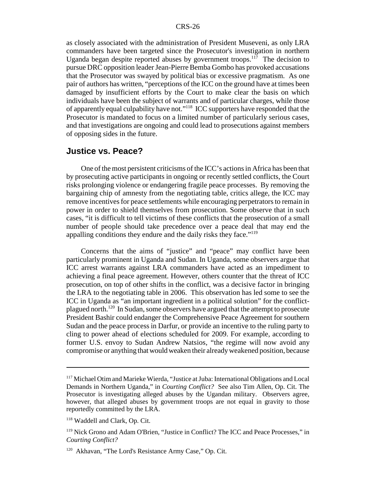as closely associated with the administration of President Museveni, as only LRA commanders have been targeted since the Prosecutor's investigation in northern Uganda began despite reported abuses by government troops.<sup>117</sup> The decision to pursue DRC opposition leader Jean-Pierre Bemba Gombo has provoked accusations that the Prosecutor was swayed by political bias or excessive pragmatism. As one pair of authors has written, "perceptions of the ICC on the ground have at times been damaged by insufficient efforts by the Court to make clear the basis on which individuals have been the subject of warrants and of particular charges, while those of apparently equal culpability have not."118 ICC supporters have responded that the Prosecutor is mandated to focus on a limited number of particularly serious cases, and that investigations are ongoing and could lead to prosecutions against members of opposing sides in the future.

## **Justice vs. Peace?**

One of the most persistent criticisms of the ICC's actions in Africa has been that by prosecuting active participants in ongoing or recently settled conflicts, the Court risks prolonging violence or endangering fragile peace processes. By removing the bargaining chip of amnesty from the negotiating table, critics allege, the ICC may remove incentives for peace settlements while encouraging perpetrators to remain in power in order to shield themselves from prosecution. Some observe that in such cases, "it is difficult to tell victims of these conflicts that the prosecution of a small number of people should take precedence over a peace deal that may end the appalling conditions they endure and the daily risks they face."<sup>119</sup>

Concerns that the aims of "justice" and "peace" may conflict have been particularly prominent in Uganda and Sudan. In Uganda, some observers argue that ICC arrest warrants against LRA commanders have acted as an impediment to achieving a final peace agreement. However, others counter that the threat of ICC prosecution, on top of other shifts in the conflict, was a decisive factor in bringing the LRA to the negotiating table in 2006. This observation has led some to see the ICC in Uganda as "an important ingredient in a political solution" for the conflictplagued north.120 In Sudan, some observers have argued that the attempt to prosecute President Bashir could endanger the Comprehensive Peace Agreement for southern Sudan and the peace process in Darfur, or provide an incentive to the ruling party to cling to power ahead of elections scheduled for 2009. For example, according to former U.S. envoy to Sudan Andrew Natsios, "the regime will now avoid any compromise or anything that would weaken their already weakened position, because

<sup>&</sup>lt;sup>117</sup> Michael Otim and Marieke Wierda, "Justice at Juba: International Obligations and Local Demands in Northern Uganda," in *Courting Conflict?* See also Tim Allen, Op. Cit. The Prosecutor is investigating alleged abuses by the Ugandan military. Observers agree, however, that alleged abuses by government troops are not equal in gravity to those reportedly committed by the LRA.

<sup>118</sup> Waddell and Clark, Op. Cit.

<sup>119</sup> Nick Grono and Adam O'Brien, "Justice in Conflict? The ICC and Peace Processes," in *Courting Conflict?*

<sup>120</sup> Akhavan, "The Lord's Resistance Army Case," Op. Cit.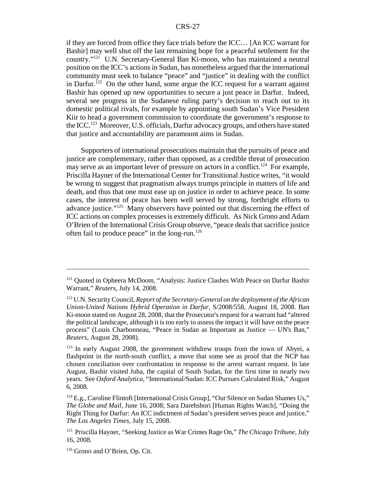#### CRS-27

if they are forced from office they face trials before the ICC… [An ICC warrant for Bashir] may well shut off the last remaining hope for a peaceful settlement for the country."<sup>121</sup> U.N. Secretary-General Ban Ki-moon, who has maintained a neutral position on the ICC's actions in Sudan, has nonetheless argued that the international community must seek to balance "peace" and "justice" in dealing with the conflict in Darfur.<sup>122</sup> On the other hand, some argue the ICC request for a warrant against Bashir has opened up new opportunities to secure a just peace in Darfur. Indeed, several see progress in the Sudanese ruling party's decision to reach out to its domestic political rivals, for example by appointing south Sudan's Vice President Kiir to head a government commission to coordinate the government's response to the ICC.123 Moreover, U.S. officials, Darfur advocacy groups, and others have stated that justice and accountability are paramount aims in Sudan.

Supporters of international prosecutions maintain that the pursuits of peace and justice are complementary, rather than opposed, as a credible threat of prosecution may serve as an important lever of pressure on actors in a conflict.<sup>124</sup> For example, Priscilla Hayner of the International Center for Transitional Justice writes, "it would be wrong to suggest that pragmatism always trumps principle in matters of life and death, and thus that one must ease up on justice in order to achieve peace. In some cases, the interest of peace has been well served by strong, forthright efforts to advance justice."<sup>125</sup> Many observers have pointed out that discerning the effect of ICC actions on complex processes is extremely difficult. As Nick Grono and Adam O'Brien of the International Crisis Group observe, "peace deals that sacrifice justice often fail to produce peace" in the long-run.<sup>126</sup>

<sup>&</sup>lt;sup>121</sup> Ouoted in Opheera McDoom, "Analysis: Justice Clashes With Peace on Darfur Bashir Warrant," *Reuters*, July 14, 2008.

<sup>122</sup> U.N. Security Council, *Report of the Secretary-General on the deployment of the African Union-United Nations Hybrid Operation in Darfur*, S/2008/558, August 18, 2008. Ban Ki-moon stated on August 28, 2008, that the Prosecutor's request for a warrant had "altered the political landscape, although it is too early to assess the impact it will have on the peace process" (Louis Charbonneau, "Peace in Sudan as Important as Justice — UN's Ban," *Reuters*, August 28, 2008).

<sup>&</sup>lt;sup>123</sup> In early August 2008, the government withdrew troops from the town of Abyei, a flashpoint in the north-south conflict, a move that some see as proof that the NCP has chosen conciliation over confrontation in response to the arrest warrant request. In late August, Bashir visited Juba, the capital of South Sudan, for the first time in nearly two years. See *Oxford Analytica*, "International/Sudan: ICC Pursues Calculated Risk," August 6, 2008.

 $124$  E.g., Caroline Flintoft [International Crisis Group], "Our Silence on Sudan Shames Us," *The Globe and Mail*, June 16, 2008; Sara Darehshori [Human Rights Watch], "Doing the Right Thing for Darfur: An ICC indictment of Sudan's president serves peace and justice," *The Los Angeles Times*, July 15, 2008.

<sup>125</sup> Priscilla Hayner, "Seeking Justice as War Crimes Rage On," *The Chicago Tribune*, July 16, 2008.

<sup>126</sup> Grono and O'Brien, Op. Cit.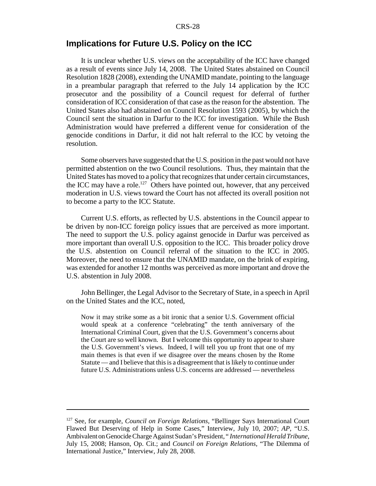## **Implications for Future U.S. Policy on the ICC**

It is unclear whether U.S. views on the acceptability of the ICC have changed as a result of events since July 14, 2008. The United States abstained on Council Resolution 1828 (2008), extending the UNAMID mandate, pointing to the language in a preambular paragraph that referred to the July 14 application by the ICC prosecutor and the possibility of a Council request for deferral of further consideration of ICC consideration of that case as the reason for the abstention. The United States also had abstained on Council Resolution 1593 (2005), by which the Council sent the situation in Darfur to the ICC for investigation. While the Bush Administration would have preferred a different venue for consideration of the genocide conditions in Darfur, it did not halt referral to the ICC by vetoing the resolution.

Some observers have suggested that the U.S. position in the past would not have permitted abstention on the two Council resolutions. Thus, they maintain that the United States has moved to a policy that recognizes that under certain circumstances, the ICC may have a role.<sup>127</sup> Others have pointed out, however, that any perceived moderation in U.S. views toward the Court has not affected its overall position not to become a party to the ICC Statute.

Current U.S. efforts, as reflected by U.S. abstentions in the Council appear to be driven by non-ICC foreign policy issues that are perceived as more important. The need to support the U.S. policy against genocide in Darfur was perceived as more important than overall U.S. opposition to the ICC. This broader policy drove the U.S. abstention on Council referral of the situation to the ICC in 2005. Moreover, the need to ensure that the UNAMID mandate, on the brink of expiring, was extended for another 12 months was perceived as more important and drove the U.S. abstention in July 2008.

John Bellinger, the Legal Advisor to the Secretary of State, in a speech in April on the United States and the ICC, noted,

Now it may strike some as a bit ironic that a senior U.S. Government official would speak at a conference "celebrating" the tenth anniversary of the International Criminal Court, given that the U.S. Government's concerns about the Court are so well known. But I welcome this opportunity to appear to share the U.S. Government's views. Indeed, I will tell you up front that one of my main themes is that even if we disagree over the means chosen by the Rome Statute — and I believe that this is a disagreement that is likely to continue under future U.S. Administrations unless U.S. concerns are addressed — nevertheless

<sup>127</sup> See, for example, *Council on Foreign Relations*, "Bellinger Says International Court Flawed But Deserving of Help in Some Cases," Interview, July 10, 2007; *AP*, "U.S. Ambivalent on Genocide Charge Against Sudan's President, " *International Herald Tribune*, July 15, 2008; Hanson, Op. Cit.; and *Council on Foreign Relations*, "The Dilemma of International Justice," Interview, July 28, 2008.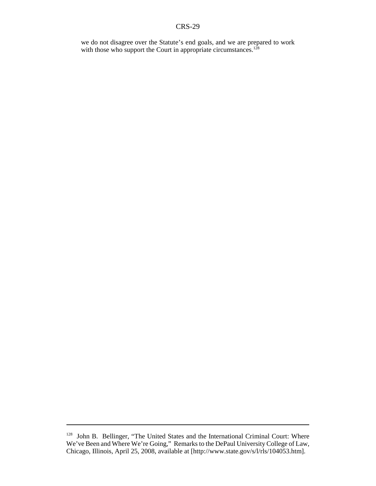#### CRS-29

we do not disagree over the Statute's end goals, and we are prepared to work with those who support the Court in appropriate circumstances.<sup>128</sup>

<sup>&</sup>lt;sup>128</sup> John B. Bellinger, "The United States and the International Criminal Court: Where We've Been and Where We're Going," Remarks to the DePaul University College of Law, Chicago, Illinois, April 25, 2008, available at [http://www.state.gov/s/l/rls/104053.htm].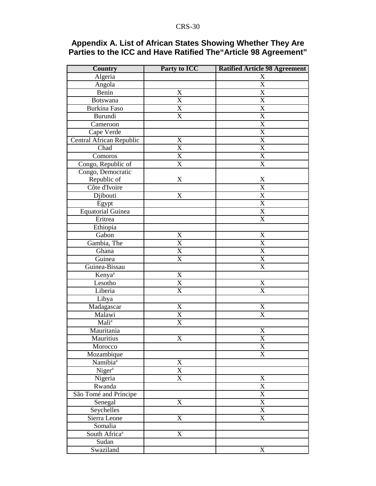## **Appendix A. List of African States Showing Whether They Are Parties to the ICC and Have Ratified The"Article 98 Agreement"**

| <b>Country</b>            | Party to ICC              | <b>Ratified Article 98 Agreement</b> |
|---------------------------|---------------------------|--------------------------------------|
| Algeria                   |                           | X                                    |
| Angola                    |                           | $\mathbf X$                          |
| Benin                     | $\boldsymbol{\mathrm{X}}$ | $\overline{\text{X}}$                |
| Botswana                  | $\boldsymbol{\mathrm{X}}$ | $\overline{\text{X}}$                |
| <b>Burkina Faso</b>       | $\overline{\mathrm{X}}$   | $\overline{\text{X}}$                |
| Burundi                   | $\boldsymbol{\mathrm{X}}$ | X                                    |
| Cameroon                  |                           | X                                    |
| Cape Verde                |                           | $\overline{\text{X}}$                |
| Central African Republic  | $\mathbf X$               | X                                    |
| Chad                      | $\overline{X}$            | $\overline{\text{X}}$                |
| Comoros                   | $\overline{\text{X}}$     | $\overline{\text{X}}$                |
| Congo, Republic of        | $\overline{X}$            | $\overline{\text{X}}$                |
| Congo, Democratic         |                           |                                      |
| Republic of               | X                         | X                                    |
| Côte d'Ivoire             |                           | $\overline{\text{X}}$                |
| Djibouti                  | $\boldsymbol{\mathrm{X}}$ | $\overline{\text{X}}$                |
| Egypt                     |                           | $\overline{\text{X}}$                |
| <b>Equatorial Guinea</b>  |                           | $\overline{X}$                       |
| Eritrea                   |                           | X                                    |
| Ethiopia                  |                           |                                      |
| Gabon                     | X                         | X                                    |
| Gambia, The               | $\overline{\text{X}}$     | $\overline{\text{X}}$                |
| Ghana                     | $\overline{\text{X}}$     | $\overline{\text{X}}$                |
| Guinea                    | $\overline{\text{X}}$     | $\overline{\text{X}}$                |
| Guinea-Bissau             |                           | X                                    |
| Kenya <sup>a</sup>        | X                         |                                      |
| Lesotho                   | $\mathbf X$               | X                                    |
| Liberia                   | $\mathbf X$               | X                                    |
| Libya                     |                           |                                      |
| Madagascar                | $\boldsymbol{\mathrm{X}}$ | $\mathbf X$                          |
| Malawi                    | $\overline{\text{X}}$     | $\overline{\text{X}}$                |
| Mali <sup>a</sup>         | $\overline{\text{X}}$     |                                      |
| Mauritania                |                           | X                                    |
| <b>Mauritius</b>          | X                         | $\overline{\text{X}}$                |
| Morocco                   |                           | X                                    |
| Mozambique                |                           | X                                    |
| Namibia <sup>a</sup>      | $\mathbf X$               |                                      |
| Niger <sup>a</sup>        | $\overline{\text{X}}$     |                                      |
| Nigeria                   | $\mathbf X$               | X                                    |
| Rwanda                    |                           | $\overline{\text{X}}$                |
| São Tomé and Príncipe     |                           | X                                    |
| Senegal                   | $\boldsymbol{\mathrm{X}}$ | $\overline{\text{X}}$                |
| Seychelles                |                           | $\overline{\text{X}}$                |
| Sierra Leone              | $\overline{\text{X}}$     | X                                    |
| Somalia                   |                           |                                      |
| South Africa <sup>a</sup> | X                         |                                      |
| Sudan                     |                           |                                      |
| Swaziland                 |                           | X                                    |